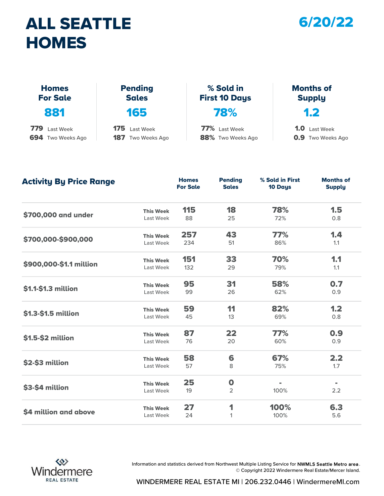#### ALL SEATTLE **HOMES**



| <b>HOMES</b>                    |                                |                                   |                                   |
|---------------------------------|--------------------------------|-----------------------------------|-----------------------------------|
| <b>Homes</b><br><b>For Sale</b> | <b>Pending</b><br><b>Sales</b> | % Sold in<br><b>First 10 Days</b> | <b>Months of</b><br><b>Supply</b> |
| 881                             | 165                            | 78%                               | 1.2                               |
| 779<br>Last Week                | 175<br>Last Week               | 77% Last Week                     | 1.0 <sub>1</sub><br>Last Week     |
| 694 Two Weeks Ago               | 187<br>Two Weeks Ago           | 88% Two Weeks Ago                 | <b>0.9</b> Two Weeks Ago          |

| <b>Activity By Price Range</b> |                  | <b>Homes</b><br><b>For Sale</b> | <b>Pending</b><br><b>Sales</b> | % Sold in First<br>10 Days | <b>Months of</b><br><b>Supply</b> |
|--------------------------------|------------------|---------------------------------|--------------------------------|----------------------------|-----------------------------------|
|                                | <b>This Week</b> | 115                             | 18                             | 78%                        | 1.5                               |
| \$700,000 and under            | Last Week        | 88                              | 25                             | 72%                        | 0.8                               |
|                                | <b>This Week</b> | 257                             | 43                             | 77%                        | 1.4                               |
| \$700,000-\$900,000            | Last Week        | 234                             | 51                             | 86%                        | 1.1                               |
|                                | <b>This Week</b> | 151                             | 33                             | 70%                        | 1.1                               |
| \$900,000-\$1.1 million        | Last Week        | 132                             | 29                             | 79%                        | 1.1                               |
|                                | <b>This Week</b> | 95                              | 31                             | 58%                        | 0.7                               |
| \$1.1-\$1.3 million            | Last Week        | 99                              | 26                             | 62%                        | 0.9                               |
|                                | <b>This Week</b> | 59                              | 11                             | 82%                        | 1.2                               |
| \$1.3-\$1.5 million            | Last Week        | 45                              | 13                             | 69%                        | 0.8                               |
|                                | <b>This Week</b> | 87                              | 22                             | 77%                        | 0.9                               |
| \$1.5-\$2 million              | Last Week        | 76                              | 20                             | 60%                        | 0.9                               |
|                                | <b>This Week</b> | 58                              | 6                              | 67%                        | 2.2                               |
| \$2-\$3 million                | Last Week        | 57                              | 8                              | 75%                        | 1.7                               |
|                                | <b>This Week</b> | 25                              | $\mathbf 0$                    |                            |                                   |
| \$3-\$4 million                | Last Week        | 19                              | $\overline{2}$                 | 100%                       | 2.2                               |
|                                | <b>This Week</b> | 27                              | 1                              | 100%                       | 6.3                               |
| \$4 million and above          | Last Week        | 24                              | 1                              | 100%                       | 5.6                               |



Information and statistics derived from Northwest Multiple Listing Service for NWMLS Seattle Metro area . © Copyright 2022 Windermere Real Estate/Mercer Island.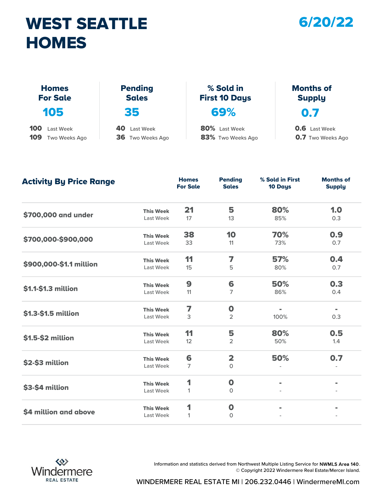## WEST SEATTLE 6/20/22 **HOMES**



| <b>HOMES</b>                    |                                |                                   |                                   |
|---------------------------------|--------------------------------|-----------------------------------|-----------------------------------|
| <b>Homes</b><br><b>For Sale</b> | <b>Pending</b><br><b>Sales</b> | % Sold in<br><b>First 10 Days</b> | <b>Months of</b><br><b>Supply</b> |
| 105                             | 35                             | 69%                               | 0.7                               |
| 100<br>Last Week                | 40<br><b>Last Week</b>         | 80% Last Week                     | <b>0.6</b> Last Week              |
| 109<br>Two Weeks Ago            | 36 Two Weeks Ago               | 83% Two Weeks Ago                 | <b>0.7</b> Two Weeks Ago          |

| <b>Activity By Price Range</b> |                  | <b>Homes</b><br><b>For Sale</b> | <b>Pending</b><br><b>Sales</b> | % Sold in First<br>10 Days | <b>Months of</b><br><b>Supply</b> |
|--------------------------------|------------------|---------------------------------|--------------------------------|----------------------------|-----------------------------------|
|                                | <b>This Week</b> | 21                              | 5                              | 80%                        | 1.0                               |
| \$700,000 and under            | Last Week        | 17                              | 13                             | 85%                        | 0.3                               |
|                                | <b>This Week</b> | 38                              | 10                             | 70%                        | 0.9                               |
| \$700,000-\$900,000            | Last Week        | 33                              | 11                             | 73%                        | 0.7                               |
|                                | <b>This Week</b> | 11                              | 7                              | 57%                        | 0.4                               |
| \$900,000-\$1.1 million        | Last Week        | 15                              | 5                              | 80%                        | 0.7                               |
|                                | <b>This Week</b> | $\boldsymbol{9}$                | 6                              | 50%                        | 0.3                               |
| \$1.1-\$1.3 million            | Last Week        | 11                              | 7                              | 86%                        | 0.4                               |
|                                | <b>This Week</b> | 7                               | $\mathbf 0$                    | $\blacksquare$             | $\blacksquare$                    |
| \$1.3-\$1.5 million            | Last Week        | 3                               | 2                              | 100%                       | 0.3                               |
|                                | <b>This Week</b> | 11                              | 5                              | 80%                        | 0.5                               |
| \$1.5-\$2 million              | Last Week        | 12                              | 2                              | 50%                        | 1.4                               |
|                                | <b>This Week</b> | 6                               | $\overline{\mathbf{2}}$        | 50%                        | 0.7                               |
| \$2-\$3 million                | Last Week        | 7                               | $\mathsf O$                    |                            |                                   |
|                                | <b>This Week</b> | 1                               | $\mathbf 0$                    | $\blacksquare$             | $\blacksquare$                    |
| \$3-\$4 million                | Last Week        | $\mathbf{1}$                    | $\circ$                        |                            |                                   |
|                                | <b>This Week</b> | 1                               | $\mathbf 0$                    |                            |                                   |
| \$4 million and above          | Last Week        | $\mathbf{1}$                    | 0                              |                            |                                   |



Information and statistics derived from Northwest Multiple Listing Service for NWMLS Area 140. © Copyright 2022 Windermere Real Estate/Mercer Island.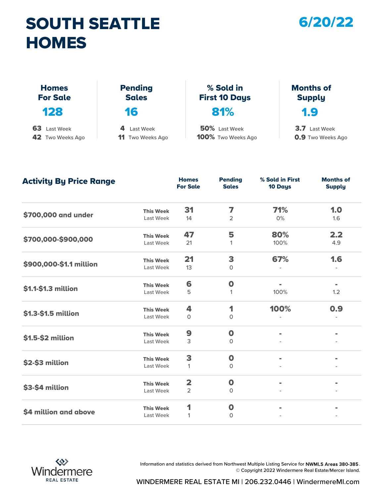## SOUTH SEATTLE 6/20/22 **HOMES**



| <b>HOMES</b>                    |                                |                                   |                                   |
|---------------------------------|--------------------------------|-----------------------------------|-----------------------------------|
| <b>Homes</b><br><b>For Sale</b> | <b>Pending</b><br><b>Sales</b> | % Sold in<br><b>First 10 Days</b> | <b>Months of</b><br><b>Supply</b> |
| 128                             | 16                             | 81%                               | 1.9                               |
| 63<br>Last Week                 | 4<br>Last Week                 | 50% Last Week                     | 3.7 Last Week                     |
| 42 Two Weeks Ago                | 11<br>Two Weeks Ago            | 100% Two Weeks Ago                | <b>0.9</b> Two Weeks Ago          |

| <b>Activity By Price Range</b> |                  | <b>Homes</b><br><b>For Sale</b> | <b>Pending</b><br><b>Sales</b> | % Sold in First<br>10 Days | <b>Months of</b><br><b>Supply</b> |
|--------------------------------|------------------|---------------------------------|--------------------------------|----------------------------|-----------------------------------|
|                                | <b>This Week</b> | 31                              | 7                              | 71%                        | 1.0                               |
| \$700,000 and under            | Last Week        | 14                              | $\overline{2}$                 | 0%                         | 1.6                               |
|                                | <b>This Week</b> | 47                              | 5                              | 80%                        | 2.2                               |
| \$700,000-\$900,000            | Last Week        | 21                              | $\mathbf{1}$                   | 100%                       | 4.9                               |
|                                | <b>This Week</b> | 21                              | 3                              | 67%                        | 1.6                               |
| \$900,000-\$1.1 million        | Last Week        | 13                              | $\mathsf{O}$                   |                            |                                   |
|                                | <b>This Week</b> | 6                               | $\mathbf 0$                    | $\blacksquare$             | $\blacksquare$                    |
| \$1.1-\$1.3 million            | Last Week        | 5                               | 1                              | 100%                       | 1.2                               |
|                                | <b>This Week</b> | 4                               | 1                              | 100%                       | 0.9                               |
| \$1.3-\$1.5 million            | Last Week        | $\Omega$                        | $\Omega$                       |                            |                                   |
|                                | <b>This Week</b> | 9                               | $\mathbf 0$                    | $\blacksquare$             |                                   |
| \$1.5-\$2 million              | Last Week        | 3                               | $\mathbf 0$                    |                            |                                   |
|                                | <b>This Week</b> | 3                               | $\mathbf 0$                    |                            |                                   |
| \$2-\$3 million                | Last Week        | $\mathbf{1}$                    | $\circ$                        |                            |                                   |
|                                | <b>This Week</b> | $\overline{\mathbf{2}}$         | $\boldsymbol{0}$               | $\blacksquare$             |                                   |
| \$3-\$4 million                | Last Week        | $\overline{2}$                  | 0                              |                            |                                   |
|                                | <b>This Week</b> | 1                               | $\mathbf 0$                    |                            |                                   |
| \$4 million and above          | Last Week        | 1                               | $\mathbf{O}$                   |                            |                                   |



Information and statistics derived from Northwest Multiple Listing Service for NWMLS Areas 380-385. © Copyright 2022 Windermere Real Estate/Mercer Island.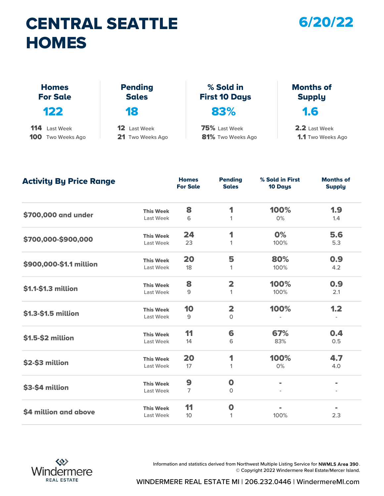## CENTRAL SEATTLE 6/20/22 **HOMES**

| <b>HOMES</b>                    |                                |                                   |                                   |
|---------------------------------|--------------------------------|-----------------------------------|-----------------------------------|
| <b>Homes</b><br><b>For Sale</b> | <b>Pending</b><br><b>Sales</b> | % Sold in<br><b>First 10 Days</b> | <b>Months of</b><br><b>Supply</b> |
| 122                             | 18                             | 83%                               | 1.6                               |
| 114<br>Last Week                | $12 \,$<br>Last Week           | 75% Last Week                     | 2.2 Last Week                     |
| 100<br>Two Weeks Ago            | 21 Two Weeks Ago               | 81% Two Weeks Ago                 | <b>1.1</b> Two Weeks Ago          |

| <b>Activity By Price Range</b> |                  | <b>Homes</b><br><b>For Sale</b> | <b>Pending</b><br><b>Sales</b> | % Sold in First<br>10 Days | <b>Months of</b><br><b>Supply</b> |
|--------------------------------|------------------|---------------------------------|--------------------------------|----------------------------|-----------------------------------|
|                                | <b>This Week</b> | 8                               | 1                              | 100%                       | 1.9                               |
| \$700,000 and under            | Last Week        | 6                               | 1                              | 0%                         | 1.4                               |
|                                | <b>This Week</b> | 24                              | 1                              | 0%                         | 5.6                               |
| \$700,000-\$900,000            | Last Week        | 23                              | 1                              | 100%                       | 5.3                               |
|                                | <b>This Week</b> | 20                              | 5                              | 80%                        | 0.9                               |
| \$900,000-\$1.1 million        | Last Week        | 18                              | 1                              | 100%                       | 4.2                               |
|                                | <b>This Week</b> | 8                               | $\overline{\mathbf{2}}$        | 100%                       | 0.9                               |
| \$1.1-\$1.3 million            | Last Week        | 9                               | 1                              | 100%                       | 2.1                               |
|                                | <b>This Week</b> | 10                              | $\overline{\mathbf{2}}$        | 100%                       | 1.2                               |
| \$1.3-\$1.5 million            | Last Week        | 9                               | $\circ$                        |                            |                                   |
|                                | <b>This Week</b> | 11                              | 6                              | 67%                        | 0.4                               |
| \$1.5-\$2 million              | Last Week        | 14                              | 6                              | 83%                        | 0.5                               |
|                                | <b>This Week</b> | 20                              | 1                              | 100%                       | 4.7                               |
| \$2-\$3 million                | Last Week        | 17                              | 1                              | 0%                         | 4.0                               |
|                                | <b>This Week</b> | 9                               | $\mathbf 0$                    | $\blacksquare$             | $\blacksquare$                    |
| \$3-\$4 million                | Last Week        | 7                               | $\circ$                        |                            |                                   |
|                                | <b>This Week</b> | 11                              | $\mathbf 0$                    |                            |                                   |
| \$4 million and above          | Last Week        | 10 <sup>°</sup>                 | 1                              | 100%                       | 2.3                               |



Information and statistics derived from Northwest Multiple Listing Service for NWMLS Area 390. © Copyright 2022 Windermere Real Estate/Mercer Island.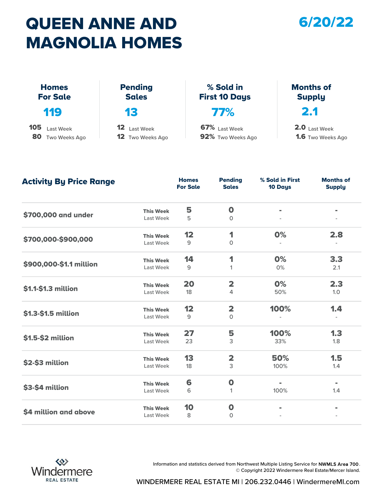## QUEEN ANNE AND 6/20/22 MAGNOLIA HOMES



|                                      | <b>MAGNOLIA HOMES</b>                                   |                                    |                                             |
|--------------------------------------|---------------------------------------------------------|------------------------------------|---------------------------------------------|
| <b>Homes</b><br><b>For Sale</b>      | <b>Pending</b><br><b>Sales</b>                          | % Sold in<br><b>First 10 Days</b>  | <b>Months of</b><br><b>Supply</b>           |
| <b>119</b>                           | 13                                                      | <b>77%</b>                         | 2.1                                         |
| 105<br>Last Week<br>80 Two Weeks Ago | 12 <sub>2</sub><br>Last Week<br><b>12</b> Two Weeks Ago | 67% Last Week<br>92% Two Weeks Ago | $2.0$ Last Week<br><b>1.6</b> Two Weeks Ago |

| <b>Activity By Price Range</b> |                  | <b>Homes</b><br><b>For Sale</b> | <b>Pending</b><br><b>Sales</b> | % Sold in First<br>10 Days | <b>Months of</b><br><b>Supply</b> |
|--------------------------------|------------------|---------------------------------|--------------------------------|----------------------------|-----------------------------------|
|                                | <b>This Week</b> | 5                               | $\mathbf 0$                    |                            |                                   |
| \$700,000 and under            | Last Week        | 5                               | $\Omega$                       |                            |                                   |
|                                | <b>This Week</b> | 12                              | 1                              | 0%                         | 2.8                               |
| \$700,000-\$900,000            | Last Week        | 9                               | $\circ$                        |                            |                                   |
|                                | <b>This Week</b> | 14                              | 1                              | 0%                         | 3.3                               |
| \$900,000-\$1.1 million        | Last Week        | 9                               | 1                              | 0%                         | 2.1                               |
|                                | <b>This Week</b> | 20                              | $\overline{\mathbf{2}}$        | 0%                         | 2.3                               |
| \$1.1-\$1.3 million            | Last Week        | 18                              | 4                              | 50%                        | 1.0                               |
|                                | <b>This Week</b> | 12                              | $\overline{\mathbf{2}}$        | 100%                       | 1.4                               |
| \$1.3-\$1.5 million            | Last Week        | 9                               | $\circ$                        |                            |                                   |
|                                | <b>This Week</b> | 27                              | 5                              | 100%                       | 1.3                               |
| \$1.5-\$2 million              | Last Week        | 23                              | 3                              | 33%                        | 1.8                               |
|                                | <b>This Week</b> | 13                              | $\overline{\mathbf{2}}$        | 50%                        | 1.5                               |
| \$2-\$3 million                | Last Week        | 18                              | 3                              | 100%                       | 1.4                               |
|                                | <b>This Week</b> | 6                               | $\boldsymbol{0}$               | $\blacksquare$             | $\blacksquare$                    |
| \$3-\$4 million                | Last Week        | 6                               | 1                              | 100%                       | 1.4                               |
|                                | <b>This Week</b> | 10                              | $\boldsymbol{0}$               |                            |                                   |
| \$4 million and above          | Last Week        | 8                               | $\mathbf 0$                    |                            |                                   |



Information and statistics derived from Northwest Multiple Listing Service for NWMLS Area 700. © Copyright 2022 Windermere Real Estate/Mercer Island.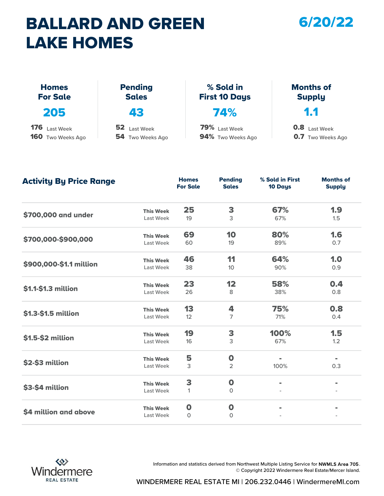## BALLARD AND GREEN LAKE HOMES

#### 6/20/22

| <b>LAKE HOMES</b>               |                                |                                   |                                   |  |  |  |  |
|---------------------------------|--------------------------------|-----------------------------------|-----------------------------------|--|--|--|--|
| <b>Homes</b><br><b>For Sale</b> | <b>Pending</b><br><b>Sales</b> | % Sold in<br><b>First 10 Days</b> | <b>Months of</b><br><b>Supply</b> |  |  |  |  |
| 205                             | 43                             | 74%                               | 1.1                               |  |  |  |  |
| <b>176</b> Last Week            | 52 Last Week                   | 79% Last Week                     | <b>0.8</b> Last Week              |  |  |  |  |
| <b>160</b> Two Weeks Ago        | 54 Two Weeks Ago               | 94% Two Weeks Ago                 | <b>0.7</b> Two Weeks Ago          |  |  |  |  |

| <b>Activity By Price Range</b> |                  | <b>Homes</b><br><b>For Sale</b> | <b>Pending</b><br><b>Sales</b> | % Sold in First<br>10 Days | <b>Months of</b><br><b>Supply</b> |
|--------------------------------|------------------|---------------------------------|--------------------------------|----------------------------|-----------------------------------|
|                                | <b>This Week</b> | 25                              | 3                              | 67%                        | 1.9                               |
| \$700,000 and under            | Last Week        | 19                              | 3                              | 67%                        | 1.5                               |
|                                | <b>This Week</b> | 69                              | 10                             | 80%                        | 1.6                               |
| \$700,000-\$900,000            | Last Week        | 60                              | 19                             | 89%                        | 0.7                               |
|                                | <b>This Week</b> | 46                              | 11                             | 64%                        | 1.0                               |
| \$900,000-\$1.1 million        | Last Week        | 38                              | 10 <sup>10</sup>               | 90%                        | 0.9                               |
|                                | <b>This Week</b> | 23                              | 12                             | 58%                        | 0.4                               |
| \$1.1-\$1.3 million            | Last Week        | 26                              | 8                              | 38%                        | 0.8                               |
|                                | <b>This Week</b> | 13                              | 4                              | 75%                        | 0.8                               |
| \$1.3-\$1.5 million            | Last Week        | 12                              | 7                              | 71%                        | 0.4                               |
|                                | <b>This Week</b> | 19                              | 3                              | 100%                       | 1.5                               |
| \$1.5-\$2 million              | Last Week        | 16                              | 3                              | 67%                        | 1.2                               |
|                                | <b>This Week</b> | 5                               | $\mathbf 0$                    |                            | $\equiv$                          |
| \$2-\$3 million                | Last Week        | 3                               | 2                              | 100%                       | 0.3                               |
|                                | <b>This Week</b> | 3                               | $\boldsymbol{0}$               | $\blacksquare$             | $\blacksquare$                    |
| \$3-\$4 million                | Last Week        | $\mathbf{1}$                    | $\mathbf 0$                    |                            |                                   |
|                                | <b>This Week</b> | $\mathbf 0$                     | $\boldsymbol{0}$               | $\blacksquare$             | $\blacksquare$                    |
| \$4 million and above          | Last Week        | $\circ$                         | $\circ$                        |                            |                                   |



Information and statistics derived from Northwest Multiple Listing Service for NWMLS Area 705. © Copyright 2022 Windermere Real Estate/Mercer Island.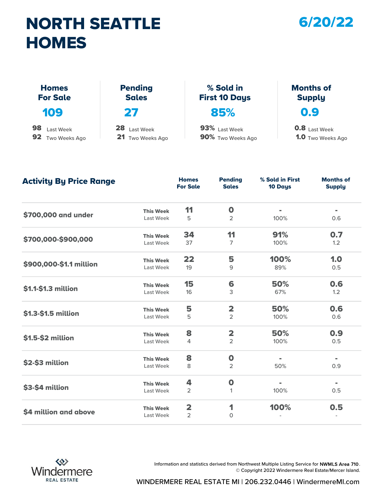## NORTH SEATTLE **HOMES**



**1.0** Two Weeks Ago

| <b>HOMES</b>                    |                                |                                   |                                   |
|---------------------------------|--------------------------------|-----------------------------------|-----------------------------------|
| <b>Homes</b><br><b>For Sale</b> | <b>Pending</b><br><b>Sales</b> | % Sold in<br><b>First 10 Days</b> | <b>Months of</b><br><b>Supply</b> |
| 109                             | 27                             | 85%                               | 0.9                               |
| 98<br>Last Week                 | 28<br><b>Last Week</b>         | 93% Last Week                     | <b>0.8</b> Last Week              |
| 92<br>Two Weeks Ago             | 21<br>Two Weeks Ago            | 90% Two Weeks Ago                 | <b>1.0</b> Two Weeks Ago          |

Last Week 5 2 100% 0.6 Last Week 37 7 100% 1.2 Last Week 19 9 89% 0.5 Last Week 16 3 67% 1.2 Last Week 5 2 100% 0.6 Last Week  $\frac{4}{2}$  100% 0.5 Last Week 8 2 50% 0.9 Last Week 2 1 100% 0.5 Last Week 2 0 - **\$700,000-\$900,000** This Week **34** 11 \$700,000 and under This Week 11 0 91% 0.7 50% -  $\frac{100\%}{1000,000\%}$  \$900,000-\$1.1 million This Week 22 5 100% 1.0 0.6  $$1.3-$1.5 million$  This Week  $$2$   $$50\%$  0.6 \$1.1-\$1.3 million This Week 15 6 50% 0.9  $$2-\$3$  million This Week  $\frac{8}{2}$  0 - $$1.5-$2$  million This Week  $8$  2 - \$3-\$4 million This Week 4 0 - -  $\frac{1}{2}$ \$4 million and above This Week 2 1 100% 0.5 **Homes** Pending<br>For Sale Sales For Sale Pending Sales 10 Days % Sold in First Months of **Supply** Activity By Price Range



Information and statistics derived from Northwest Multiple Listing Service for NWMLS Area 710. © Copyright 2022 Windermere Real Estate/Mercer Island.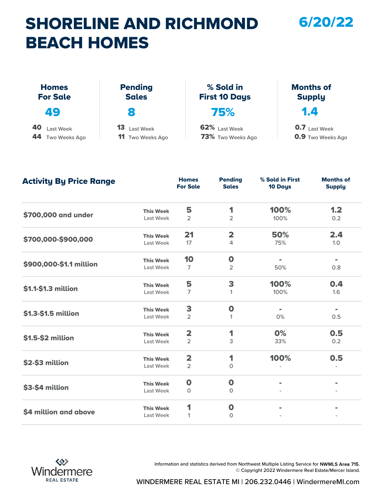## SHORELINE AND RICHMOND BEACH HOMES

6/20/22

| <b>BEACH HOMES</b>                  |                                            |                                    |                                                  |
|-------------------------------------|--------------------------------------------|------------------------------------|--------------------------------------------------|
| <b>Homes</b><br><b>For Sale</b>     | <b>Pending</b><br><b>Sales</b>             | % Sold in<br><b>First 10 Days</b>  | <b>Months of</b><br><b>Supply</b>                |
| 49                                  | 8                                          | 75%                                | 1.4                                              |
| 40<br>Last Week<br>44 Two Weeks Ago | 13<br>Last Week<br><b>11</b> Two Weeks Ago | 62% Last Week<br>73% Two Weeks Ago | <b>0.7</b> Last Week<br><b>0.9</b> Two Weeks Ago |

| <b>Activity By Price Range</b> |                  | <b>Homes</b><br><b>For Sale</b> | <b>Pending</b><br><b>Sales</b> | % Sold in First<br>10 Days | <b>Months of</b><br><b>Supply</b> |
|--------------------------------|------------------|---------------------------------|--------------------------------|----------------------------|-----------------------------------|
|                                | <b>This Week</b> | 5                               | 1                              | 100%                       | 1.2                               |
| \$700,000 and under            | Last Week        | $\overline{2}$                  | $\overline{2}$                 | 100%                       | 0.2                               |
|                                | <b>This Week</b> | 21                              | $\overline{\mathbf{2}}$        | 50%                        | 2.4                               |
| \$700,000-\$900,000            | Last Week        | 17                              | 4                              | 75%                        | 1.0                               |
|                                | <b>This Week</b> | 10                              | $\mathbf 0$                    | $\blacksquare$             | $\qquad \qquad =$                 |
| \$900,000-\$1.1 million        | Last Week        | $\overline{7}$                  | 2                              | 50%                        | 0.8                               |
|                                | <b>This Week</b> | 5                               | 3                              | 100%                       | 0.4                               |
| \$1.1-\$1.3 million            | Last Week        | $\overline{7}$                  | $\mathbf{1}$                   | 100%                       | 1.6                               |
|                                | <b>This Week</b> | 3                               | $\mathbf 0$                    | $\blacksquare$             | $\blacksquare$                    |
| \$1.3-\$1.5 million            | Last Week        | $\overline{2}$                  | 1                              | 0%                         | 0.5                               |
|                                | <b>This Week</b> | $\overline{\mathbf{2}}$         | 1                              | 0%                         | 0.5                               |
| \$1.5-\$2 million              | Last Week        | $\overline{2}$                  | 3                              | 33%                        | 0.2                               |
|                                | <b>This Week</b> | $\overline{\mathbf{2}}$         | 1                              | 100%                       | 0.5                               |
| \$2-\$3 million                | Last Week        | $\overline{2}$                  | 0                              |                            |                                   |
|                                | <b>This Week</b> | $\mathbf 0$                     | $\mathbf 0$                    | $\blacksquare$             | $\blacksquare$                    |
| \$3-\$4 million                | Last Week        | 0                               | 0                              |                            |                                   |
|                                | <b>This Week</b> | 1                               | $\mathbf 0$                    |                            |                                   |
| \$4 million and above          | Last Week        | 1                               | $\Omega$                       |                            |                                   |



Information and statistics derived from Northwest Multiple Listing Service for NWMLS Area 715. © Copyright 2022 Windermere Real Estate/Mercer Island.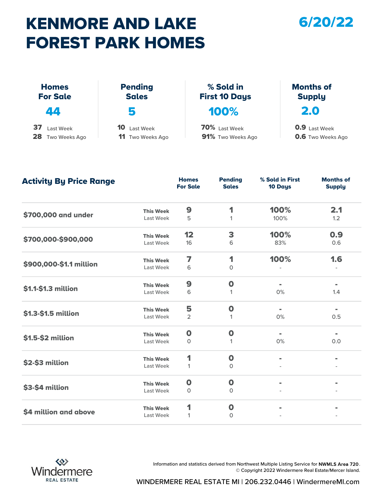## KENMORE AND LAKE FOREST PARK HOMES

#### 6/20/22

|                                        | FOREST PARK HOMES                          |                                    |                                                  |
|----------------------------------------|--------------------------------------------|------------------------------------|--------------------------------------------------|
| <b>Homes</b><br><b>For Sale</b>        | <b>Pending</b><br><b>Sales</b>             | % Sold in<br><b>First 10 Days</b>  | <b>Months of</b><br><b>Supply</b>                |
| 44                                     | 5                                          | 100%                               | 2.0                                              |
| 37<br>Last Week<br>28<br>Two Weeks Ago | 10<br>Last Week<br><b>11</b> Two Weeks Ago | 70% Last Week<br>91% Two Weeks Ago | <b>0.9</b> Last Week<br><b>0.6</b> Two Weeks Ago |

| <b>Activity By Price Range</b> |                  | <b>Homes</b><br><b>For Sale</b> | <b>Pending</b><br><b>Sales</b> | % Sold in First<br>10 Days | <b>Months of</b><br><b>Supply</b> |
|--------------------------------|------------------|---------------------------------|--------------------------------|----------------------------|-----------------------------------|
|                                | <b>This Week</b> | 9                               | 1                              | 100%                       | 2.1                               |
| \$700,000 and under            | Last Week        | 5                               | 1                              | 100%                       | 1.2                               |
|                                | <b>This Week</b> | 12                              | 3                              | 100%                       | 0.9                               |
| \$700,000-\$900,000            | Last Week        | 16                              | 6                              | 83%                        | 0.6                               |
|                                | <b>This Week</b> | 7                               | 1                              | 100%                       | 1.6                               |
| \$900,000-\$1.1 million        | Last Week        | 6                               | $\mathsf{O}$                   |                            |                                   |
|                                | <b>This Week</b> | 9                               | $\mathbf 0$                    | $\blacksquare$             | $\blacksquare$                    |
| \$1.1-\$1.3 million            | Last Week        | 6                               | 1                              | 0%                         | 1.4                               |
|                                | <b>This Week</b> | 5                               | $\mathbf 0$                    | $\blacksquare$             | $\blacksquare$                    |
| \$1.3-\$1.5 million            | Last Week        | $\overline{2}$                  | 1                              | 0%                         | 0.5                               |
|                                | <b>This Week</b> | $\mathbf 0$                     | $\mathbf 0$                    | $\blacksquare$             |                                   |
| \$1.5-\$2 million              | Last Week        | 0                               | 1                              | 0%                         | 0.0                               |
|                                | <b>This Week</b> | 1                               | $\mathbf 0$                    |                            |                                   |
| \$2-\$3 million                | Last Week        | $\mathbf{1}$                    | $\mathbf 0$                    |                            |                                   |
|                                | <b>This Week</b> | $\mathbf 0$                     | $\mathbf 0$                    | $\blacksquare$             |                                   |
| \$3-\$4 million                | Last Week        | $\circ$                         | 0                              |                            |                                   |
|                                | <b>This Week</b> | 1                               | $\mathbf 0$                    |                            |                                   |
| \$4 million and above          | Last Week        | 1                               | $\mathbf{0}$                   |                            |                                   |



Information and statistics derived from Northwest Multiple Listing Service for NWMLS Area 720. © Copyright 2022 Windermere Real Estate/Mercer Island.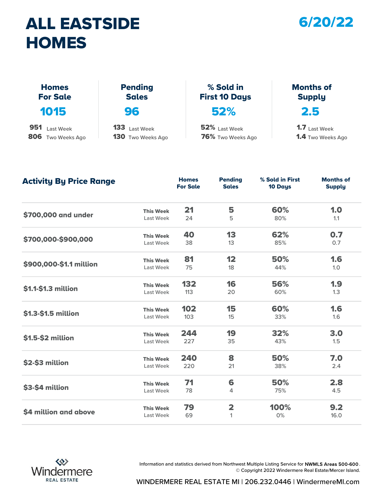## ALL EASTSIDE **HOMES**



| <b>HOMES</b>                    |                                |                                   |                                   |
|---------------------------------|--------------------------------|-----------------------------------|-----------------------------------|
| <b>Homes</b><br><b>For Sale</b> | <b>Pending</b><br><b>Sales</b> | % Sold in<br><b>First 10 Days</b> | <b>Months of</b><br><b>Supply</b> |
| 1015                            | 96                             | 52%                               | 2.5                               |
| 951<br>Last Week                | 133 Last Week                  | 52% Last Week                     | <b>1.7</b> Last Week              |
| 806 Two Weeks Ago               | <b>130</b> Two Weeks Ago       | 76% Two Weeks Ago                 | <b>1.4</b> Two Weeks Ago          |

1.4 Two Weeks Ago

| <b>Activity By Price Range</b> |                  | <b>Homes</b><br><b>For Sale</b> | <b>Pending</b><br><b>Sales</b> | % Sold in First<br>10 Days | <b>Months of</b><br><b>Supply</b> |
|--------------------------------|------------------|---------------------------------|--------------------------------|----------------------------|-----------------------------------|
|                                | <b>This Week</b> | 21                              | 5                              | 60%                        | 1.0                               |
| \$700,000 and under            | Last Week        | 24                              | 5                              | 80%                        | 1.1                               |
|                                | <b>This Week</b> | 40                              | 13                             | 62%                        | 0.7                               |
| \$700,000-\$900,000            | Last Week        | 38                              | 13                             | 85%                        | 0.7                               |
|                                | <b>This Week</b> | 81                              | 12                             | 50%                        | 1.6                               |
| \$900,000-\$1.1 million        | Last Week        | 75                              | 18                             | 44%                        | 1.0                               |
| \$1.1-\$1.3 million            | <b>This Week</b> | 132                             | 16                             | 56%                        | 1.9                               |
|                                | Last Week        | 113                             | 20                             | 60%                        | 1.3                               |
|                                | <b>This Week</b> | 102                             | 15                             | 60%                        | 1.6                               |
| \$1.3-\$1.5 million            | Last Week        | 103                             | 15                             | 33%                        | 1.6                               |
|                                | <b>This Week</b> | 244                             | 19                             | 32%                        | 3.0                               |
| \$1.5-\$2 million              | Last Week        | 227                             | 35                             | 43%                        | 1.5                               |
|                                | <b>This Week</b> | 240                             | 8                              | 50%                        | 7.0                               |
| \$2-\$3 million                | Last Week        | 220                             | 21                             | 38%                        | 2.4                               |
|                                | <b>This Week</b> | 71                              | 6                              | 50%                        | 2.8                               |
| \$3-\$4 million                | Last Week        | 78                              | 4                              | 75%                        | 4.5                               |
|                                | <b>This Week</b> | 79                              | $\overline{\mathbf{2}}$        | 100%                       | 9.2                               |
| \$4 million and above          | Last Week        | 69                              | $\mathbf{1}$                   | 0%                         | 16.0                              |



Information and statistics derived from Northwest Multiple Listing Service for NWMLS Areas 500-600 . © Copyright 2022 Windermere Real Estate/Mercer Island.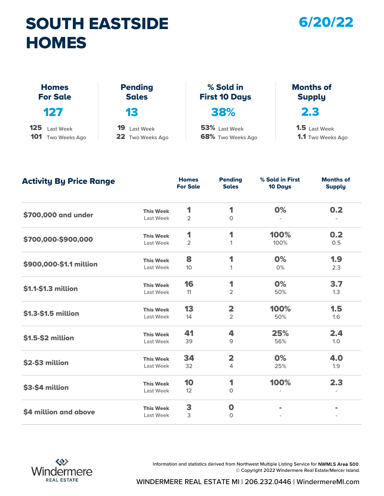## SOUTH EASTSIDE **HOMES**

#### 6/20/22

| <b>HOMES</b>                    |                                |                                   |                                   |
|---------------------------------|--------------------------------|-----------------------------------|-----------------------------------|
| <b>Homes</b><br><b>For Sale</b> | <b>Pending</b><br><b>Sales</b> | % Sold in<br><b>First 10 Days</b> | <b>Months of</b><br><b>Supply</b> |
| 127                             | 13                             | 38%                               | 2.3                               |
| 125<br>Last Week                | 19<br>Last Week                | 53% Last Week                     | <b>1.5</b> Last Week              |
| 101<br>Two Weeks Ago            | 22 Two Weeks Ago               | 68% Two Weeks Ago                 | <b>1.1</b> Two Weeks Ago          |

#### Months of Supply

1.1 Two Weeks Ago 1.5 Last Week

| <b>Activity By Price Range</b> |                  | <b>Homes</b><br><b>For Sale</b> | <b>Pending</b><br><b>Sales</b> | % Sold in First<br><b>10 Days</b> | <b>Months of</b><br><b>Supply</b> |
|--------------------------------|------------------|---------------------------------|--------------------------------|-----------------------------------|-----------------------------------|
|                                | <b>This Week</b> | 1                               | 1                              | 0%                                | 0.2                               |
| \$700,000 and under            | Last Week        | $\overline{2}$                  | $\Omega$                       |                                   |                                   |
|                                | <b>This Week</b> | 1                               | 1                              | 100%                              | 0.2                               |
| \$700,000-\$900,000            | Last Week        | $\overline{2}$                  | 1                              | 100%                              | 0.5                               |
|                                | <b>This Week</b> | 8                               | 1                              | 0%                                | 1.9                               |
| \$900,000-\$1.1 million        | Last Week        | 10 <sup>°</sup>                 | 1                              | 0%                                | 2.3                               |
| \$1.1-\$1.3 million            | <b>This Week</b> | 16                              | 1                              | 0%                                | 3.7                               |
|                                | Last Week        | 11                              | $\overline{2}$                 | 50%                               | 1.3                               |
|                                | <b>This Week</b> | 13                              | $\overline{\mathbf{2}}$        | 100%                              | 1.5                               |
| \$1.3-\$1.5 million            | Last Week        | 14                              | $\overline{2}$                 | 50%                               | 1.6                               |
|                                | <b>This Week</b> | 41                              | 4                              | 25%                               | 2.4                               |
| \$1.5-\$2 million              | Last Week        | 39                              | 9                              | 56%                               | 1.0                               |
|                                | <b>This Week</b> | 34                              | $\overline{\mathbf{2}}$        | 0%                                | 4.0                               |
| \$2-\$3 million                | Last Week        | 32                              | 4                              | 25%                               | 1.9                               |
|                                | <b>This Week</b> | 10                              | 1                              | 100%                              | 2.3                               |
| \$3-\$4 million                | Last Week        | 12                              | $\mathsf O$                    |                                   |                                   |
|                                | <b>This Week</b> | 3                               | $\boldsymbol{0}$               | $\blacksquare$                    |                                   |
| \$4 million and above          | Last Week        | 3                               | $\circ$                        |                                   |                                   |



Information and statistics derived from Northwest Multiple Listing Service for NWMLS Area 500. © Copyright 2022 Windermere Real Estate/Mercer Island.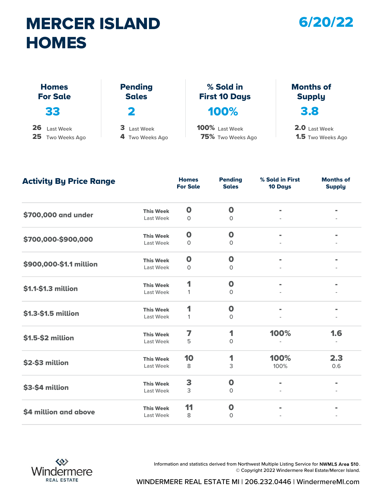## MERCER ISLAND **HOMES**

#### 6/20/22

| <b>HOMES</b>                    |                                |                                   |                                   |
|---------------------------------|--------------------------------|-----------------------------------|-----------------------------------|
| <b>Homes</b><br><b>For Sale</b> | <b>Pending</b><br><b>Sales</b> | % Sold in<br><b>First 10 Days</b> | <b>Months of</b><br><b>Supply</b> |
| 33                              | 2                              | 100%                              | 3.8                               |
| 26<br>Last Week                 | 3 Last Week                    | 100% Last Week                    | 2.0 Last Week                     |
| 25<br>Two Weeks Ago             | 4 Two Weeks Ago                | 75% Two Weeks Ago                 | <b>1.5</b> Two Weeks Ago          |

Last Week 0 0 - - Last Week 0 0 - - Last Week 0 0 - - Last Week 1 0 Last Week 1 0 Last Week 5 0 Last Week 8 3 3 100% 0.6 Last Week 3 0 -Last Week 8 0 - \$700,000-\$900,000 This Week 0 0 \$700,000 and under This Week 0 0 - - - -  $\frac{1}{2}$   $\frac{1}{2}$   $\frac{1}{2}$   $\frac{1}{2}$   $\frac{1}{2}$   $\frac{1}{2}$   $\frac{1}{2}$   $\frac{1}{2}$   $\frac{1}{2}$   $\frac{1}{2}$   $\frac{1}{2}$   $\frac{1}{2}$   $\frac{1}{2}$   $\frac{1}{2}$   $\frac{1}{2}$   $\frac{1}{2}$   $\frac{1}{2}$   $\frac{1}{2}$   $\frac{1}{2}$   $\frac{1}{2}$   $\frac{1}{2}$   $\frac{1}{2}$  -  $$1.3-$1.5 million$  This Week  $1$  0 -  $1.3-$1.5 million$ \$1.1-\$1.3 million This Week 1 0 100% 1.6  $$2-\$3$  million This Week  $10$  1  $100\%$ \$1.5-\$2 million This Week 7 1 2.3  $$3-$4 million$  This Week  $$3$  0 -  $$1.30\%$ \$4 million and above This Week 11 0 - - **Homes** Pending<br>For Sale Sales For Sale **Pending** Sales 10 Days % Sold in First Months of Supply Activity By Price Range



Information and statistics derived from Northwest Multiple Listing Service for NWMLS Area 510. © Copyright 2022 Windermere Real Estate/Mercer Island.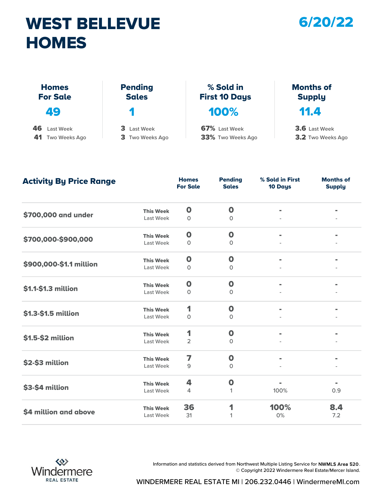## WEST BELLEVUE **HOMES**

#### 6/20/22

| <b>HOMES</b>                    |                                |                                   |                                   |
|---------------------------------|--------------------------------|-----------------------------------|-----------------------------------|
| <b>Homes</b><br><b>For Sale</b> | <b>Pending</b><br><b>Sales</b> | % Sold in<br><b>First 10 Days</b> | <b>Months of</b><br><b>Supply</b> |
| 49                              | м                              | 100%                              | 11.4                              |
| 46<br>Last Week                 | 3 Last Week                    | 67% Last Week                     | 3.6 Last Week                     |
| 41<br>Two Weeks Ago             | 3 Two Weeks Ago                | 33% Two Weeks Ago                 | 3.2 Two Weeks Ago                 |

| <b>Activity By Price Range</b> |                  | <b>Homes</b><br><b>For Sale</b> | <b>Pending</b><br><b>Sales</b> | % Sold in First<br>10 Days | <b>Months of</b><br><b>Supply</b> |
|--------------------------------|------------------|---------------------------------|--------------------------------|----------------------------|-----------------------------------|
|                                | <b>This Week</b> | $\mathbf 0$                     | $\mathbf 0$                    |                            |                                   |
| \$700,000 and under            | Last Week        | $\circ$                         | $\circ$                        |                            |                                   |
|                                | <b>This Week</b> | $\mathbf 0$                     | $\mathbf 0$                    | $\blacksquare$             |                                   |
| \$700,000-\$900,000            | Last Week        | $\circ$                         | $\circ$                        |                            |                                   |
|                                | <b>This Week</b> | $\mathbf 0$                     | $\mathbf 0$                    |                            |                                   |
| \$900,000-\$1.1 million        | Last Week        | 0                               | 0                              |                            |                                   |
|                                | <b>This Week</b> | $\mathbf 0$                     | $\mathbf 0$                    |                            |                                   |
| \$1.1-\$1.3 million            | Last Week        | $\circ$                         | $\circ$                        |                            |                                   |
|                                | <b>This Week</b> | 1                               | $\mathbf 0$                    | $\blacksquare$             | $\blacksquare$                    |
| \$1.3-\$1.5 million            | Last Week        | $\circ$                         | $\circ$                        |                            |                                   |
|                                | <b>This Week</b> | 1                               | $\mathbf 0$                    |                            |                                   |
| \$1.5-\$2 million              | Last Week        | 2                               | 0                              |                            |                                   |
|                                | <b>This Week</b> | 7                               | $\mathbf 0$                    | $\equiv$                   |                                   |
| \$2-\$3 million                | Last Week        | 9                               | $\circ$                        |                            |                                   |
|                                | <b>This Week</b> | 4                               | $\mathbf 0$                    | $\blacksquare$             | $\blacksquare$                    |
| \$3-\$4 million                | Last Week        | 4                               | 1                              | 100%                       | 0.9                               |
|                                | <b>This Week</b> | 36                              | 1                              | 100%                       | 8.4                               |
| \$4 million and above          | Last Week        | 31                              | 1                              | 0%                         | 7.2                               |



Information and statistics derived from Northwest Multiple Listing Service for NWMLS Area 520. © Copyright 2022 Windermere Real Estate/Mercer Island.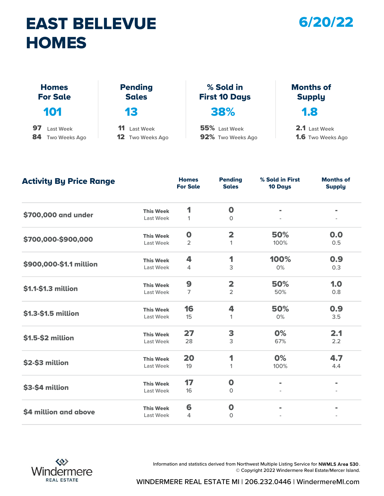## EAST BELLEVUE **HOMES**

#### 6/20/22

| <b>HOMES</b>                    |                                |                                   |                                   |
|---------------------------------|--------------------------------|-----------------------------------|-----------------------------------|
| <b>Homes</b><br><b>For Sale</b> | <b>Pending</b><br><b>Sales</b> | % Sold in<br><b>First 10 Days</b> | <b>Months of</b><br><b>Supply</b> |
| 101                             | 13                             | 38%                               | 1.8                               |
| 97<br>Last Week                 | 11<br>Last Week                | 55% Last Week                     | 2.1 Last Week                     |
| 84<br>Two Weeks Ago             | 12<br>Two Weeks Ago            | 92% Two Weeks Ago                 | <b>1.6</b> Two Weeks Ago          |

Last Week 1 0 Last Week 2 1 1 100% 0.5 Last Week 4 3 0% 0.3 Last Week 2 50% 0.8 Last Week 15 1 1 0% 3.5 Last Week 28 3 67% 2.2 Last Week 19 100% 1 Last Week 16 0  $Last \text{ Week}$  4 0 - \$700,000-\$900,000 This Week 0 2 \$700,000 and under This Week 1 0 50% 0.0 50% -  $\begin{array}{cccc} \texttt{5900,000-S1.1}\ \text{million} & \texttt{This Week} & 4 & 1 & 100\% & 0.9\ \texttt{Last Week} & 4 & 3 & 0\% & 0.3 \end{array}$ 1.0  $$1.3-$1.5 \text{ million}$  This Week  $16$  4 50% 0.9  $$1.1-$1.3 million$  This Week  $$9$  2 0% 2.1  $$2-$3 million$  This Week 20 1 0% \$1.5-\$2 million This Week 27 3 4.7  $$3-$4 million$  This Week  $17$  0 - - - - $\textsf{54} \text{ million and above}$ **Homes** Pending<br>For Sale Sales For Sale **Pending** Sales 10 Days % Sold in First Months of **Supply** Activity By Price Range



Information and statistics derived from Northwest Multiple Listing Service for NWMLS Area 530. © Copyright 2022 Windermere Real Estate/Mercer Island.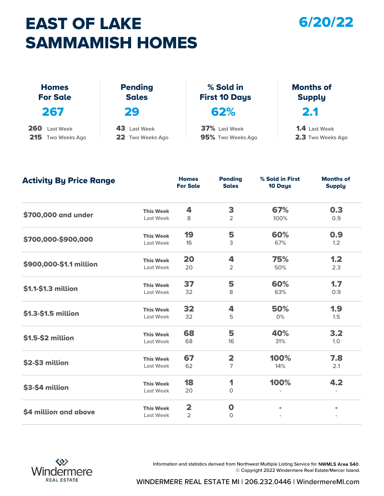## EAST OF LAKE SAMMAMISH HOMES

#### 6/20/22

|                                       | <b>SAMMAMISH HOMES</b>              |                                    |                                           |
|---------------------------------------|-------------------------------------|------------------------------------|-------------------------------------------|
| <b>Homes</b><br><b>For Sale</b>       | <b>Pending</b><br><b>Sales</b>      | % Sold in<br><b>First 10 Days</b>  | <b>Months of</b><br><b>Supply</b>         |
| 267                                   | 29                                  | 62%                                | 2.1                                       |
| 260<br>Last Week<br>215 Two Weeks Ago | 43<br>Last Week<br>22 Two Weeks Ago | 37% Last Week<br>95% Two Weeks Ago | <b>1.4</b> Last Week<br>2.3 Two Weeks Ago |

| <b>Activity By Price Range</b> |                  | <b>Homes</b><br><b>For Sale</b> | <b>Pending</b><br><b>Sales</b> | % Sold in First<br>10 Days | <b>Months of</b><br><b>Supply</b> |
|--------------------------------|------------------|---------------------------------|--------------------------------|----------------------------|-----------------------------------|
|                                | <b>This Week</b> | 4                               | 3                              | 67%                        | 0.3                               |
| \$700,000 and under            | Last Week        | 8                               | $\overline{2}$                 | 100%                       | 0.9                               |
|                                | <b>This Week</b> | 19                              | 5                              | 60%                        | 0.9                               |
| \$700,000-\$900,000            | Last Week        | 16                              | 3                              | 67%                        | 1.2                               |
|                                | <b>This Week</b> | 20                              | 4                              | 75%                        | 1.2                               |
| \$900,000-\$1.1 million        | Last Week        | 20                              | $\overline{2}$                 | 50%                        | 2.3                               |
|                                | <b>This Week</b> | 37                              | 5                              | 60%                        | 1.7                               |
| \$1.1-\$1.3 million            | Last Week        | 32                              | 8                              | 63%                        | 0.9                               |
|                                | <b>This Week</b> | 32                              | 4                              | 50%                        | 1.9                               |
| \$1.3-\$1.5 million            | Last Week        | 32                              | 5                              | 0%                         | 1.5                               |
|                                | <b>This Week</b> | 68                              | 5                              | 40%                        | 3.2                               |
| \$1.5-\$2 million              | Last Week        | 68                              | 16                             | 31%                        | 1.0                               |
|                                | <b>This Week</b> | 67                              | $\overline{\mathbf{2}}$        | 100%                       | 7.8                               |
| \$2-\$3 million                | Last Week        | 62                              | $\overline{7}$                 | 14%                        | 2.1                               |
|                                | <b>This Week</b> | 18                              | 1                              | 100%                       | 4.2                               |
| \$3-\$4 million                | Last Week        | 20                              | 0                              |                            |                                   |
|                                | <b>This Week</b> | $\overline{\mathbf{2}}$         | $\mathbf 0$                    |                            |                                   |
| \$4 million and above          | <b>Last Week</b> | $\overline{2}$                  | $\Omega$                       |                            |                                   |



Information and statistics derived from Northwest Multiple Listing Service for NWMLS Area 540. © Copyright 2022 Windermere Real Estate/Mercer Island.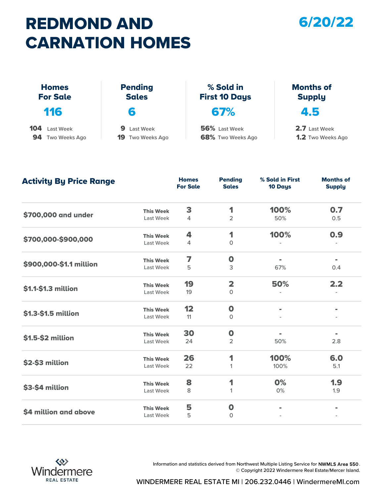# REDMOND AND CARNATION HOMES



|                                      | <b>CARNATION HOMES</b>                 |                                    |                                           |
|--------------------------------------|----------------------------------------|------------------------------------|-------------------------------------------|
| <b>Homes</b><br><b>For Sale</b>      | <b>Pending</b><br><b>Sales</b>         | % Sold in<br><b>First 10 Days</b>  | <b>Months of</b><br><b>Supply</b>         |
| 116                                  | 6                                      | 67%                                | 4.5                                       |
| 104<br>Last Week<br>94 Two Weeks Ago | 9.<br>Last Week<br>19<br>Two Weeks Ago | 56% Last Week<br>68% Two Weeks Ago | 2.7 Last Week<br><b>1.2</b> Two Weeks Ago |

| <b>Activity By Price Range</b> |                  | <b>Homes</b><br><b>For Sale</b> | <b>Pending</b><br><b>Sales</b> | % Sold in First<br>10 Days | <b>Months of</b><br><b>Supply</b> |
|--------------------------------|------------------|---------------------------------|--------------------------------|----------------------------|-----------------------------------|
|                                | <b>This Week</b> | 3                               | 1                              | 100%                       | 0.7                               |
| \$700,000 and under            | Last Week        | 4                               | 2                              | 50%                        | 0.5                               |
|                                | <b>This Week</b> | 4                               | 1                              | 100%                       | 0.9                               |
| \$700,000-\$900,000            | Last Week        | 4                               | $\mathsf{O}$                   |                            |                                   |
|                                | <b>This Week</b> | 7                               | $\mathbf 0$                    |                            | $\blacksquare$                    |
| \$900,000-\$1.1 million        | Last Week        | 5                               | 3                              | 67%                        | 0.4                               |
|                                | <b>This Week</b> | 19                              | $\overline{\mathbf{2}}$        | 50%                        | 2.2                               |
| \$1.1-\$1.3 million            | Last Week        | 19                              | $\mathsf{O}$                   |                            |                                   |
|                                | <b>This Week</b> | 12                              | $\mathbf 0$                    | $\blacksquare$             | $\blacksquare$                    |
| \$1.3-\$1.5 million            | Last Week        | 11                              | $\circ$                        |                            |                                   |
|                                | <b>This Week</b> | 30                              | $\mathbf 0$                    |                            |                                   |
| \$1.5-\$2 million              | Last Week        | 24                              | 2                              | 50%                        | 2.8                               |
|                                | <b>This Week</b> | 26                              | 1                              | 100%                       | 6.0                               |
| \$2-\$3 million                | Last Week        | 22                              | 1                              | 100%                       | 5.1                               |
|                                | <b>This Week</b> | 8                               | 1                              | O%                         | 1.9                               |
| \$3-\$4 million                | Last Week        | 8                               | 1                              | 0%                         | 1.9                               |
|                                | <b>This Week</b> | 5                               | $\mathbf 0$                    |                            |                                   |
| \$4 million and above          | Last Week        | 5                               | 0                              |                            |                                   |



Information and statistics derived from Northwest Multiple Listing Service for NWMLS Area 550. © Copyright 2022 Windermere Real Estate/Mercer Island.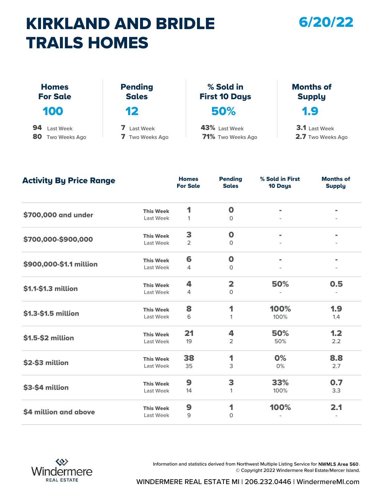## KIRKLAND AND BRIDLE TRAILS HOMES

#### 6/20/22

| <b>TRAILS HOMES</b>             |                                |                                   |                                   |
|---------------------------------|--------------------------------|-----------------------------------|-----------------------------------|
| <b>Homes</b><br><b>For Sale</b> | <b>Pending</b><br><b>Sales</b> | % Sold in<br><b>First 10 Days</b> | <b>Months of</b><br><b>Supply</b> |
| 100                             | 12                             | 50%                               | 1.9                               |
| 94<br>Last Week                 | 7 Last Week                    | 43% Last Week                     | 3.1 Last Week                     |
| 80<br>Two Weeks Ago             | 7 Two Weeks Ago                | 71% Two Weeks Ago                 | 2.7 Two Weeks Ago                 |

| <b>Activity By Price Range</b> |                  | <b>Homes</b><br><b>For Sale</b> | <b>Pending</b><br><b>Sales</b> | % Sold in First<br>10 Days | <b>Months of</b><br><b>Supply</b> |
|--------------------------------|------------------|---------------------------------|--------------------------------|----------------------------|-----------------------------------|
|                                | <b>This Week</b> | 1                               | $\mathbf 0$                    |                            |                                   |
| \$700,000 and under            | Last Week        | 1                               | $\circ$                        |                            |                                   |
|                                | <b>This Week</b> | 3                               | $\mathbf 0$                    | $\blacksquare$             |                                   |
| \$700,000-\$900,000            | Last Week        | $\overline{2}$                  | $\circ$                        |                            |                                   |
|                                | <b>This Week</b> | 6                               | $\mathbf 0$                    |                            |                                   |
| \$900,000-\$1.1 million        | Last Week        | 4                               | $\circ$                        |                            |                                   |
|                                | <b>This Week</b> | 4                               | $\overline{\mathbf{2}}$        | 50%                        | 0.5                               |
| \$1.1-\$1.3 million            | Last Week        | $\overline{4}$                  | $\mathsf{O}$                   |                            |                                   |
|                                | <b>This Week</b> | 8                               | 1                              | 100%                       | 1.9                               |
| \$1.3-\$1.5 million            | Last Week        | 6                               | 1                              | 100%                       | 1.4                               |
|                                | <b>This Week</b> | 21                              | 4                              | 50%                        | 1.2                               |
| \$1.5-\$2 million              | Last Week        | 19                              | $\overline{2}$                 | 50%                        | 2.2                               |
|                                | <b>This Week</b> | 38                              | 1                              | 0%                         | 8.8                               |
| \$2-\$3 million                | Last Week        | 35                              | 3                              | 0%                         | 2.7                               |
|                                | <b>This Week</b> | 9                               | 3                              | 33%                        | 0.7                               |
| \$3-\$4 million                | Last Week        | 14                              | 1                              | 100%                       | 3.3                               |
|                                | <b>This Week</b> | $\boldsymbol{9}$                | 1                              | 100%                       | 2.1                               |
| \$4 million and above          | Last Week        | 9                               | $\mathbf{O}$                   |                            |                                   |



Information and statistics derived from Northwest Multiple Listing Service for NWMLS Area 560. © Copyright 2022 Windermere Real Estate/Mercer Island.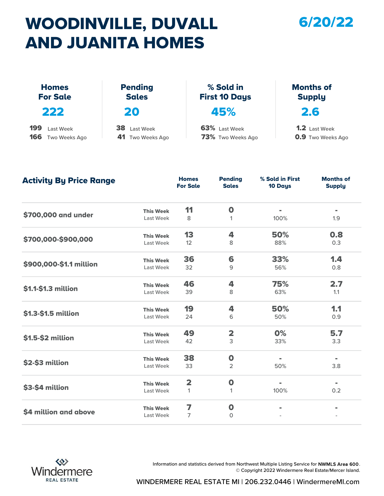## WOODINVILLE, DUVALL AND JUANITA HOMES

#### 6/20/22

|                                                 | AND JUANITA HOMES                |                                    |                                                  |
|-------------------------------------------------|----------------------------------|------------------------------------|--------------------------------------------------|
|                                                 |                                  |                                    |                                                  |
| <b>Homes</b><br><b>For Sale</b>                 | <b>Pending</b><br><b>Sales</b>   | % Sold in<br><b>First 10 Days</b>  | <b>Months of</b><br><b>Supply</b>                |
| 222                                             | 20                               | 45%                                | 2.6                                              |
| 199<br>Last Week<br>166<br><b>Two Weeks Ago</b> | 38 Last Week<br>41 Two Weeks Ago | 63% Last Week<br>73% Two Weeks Ago | <b>1.2</b> Last Week<br><b>0.9</b> Two Weeks Ago |

| <b>Activity By Price Range</b> |                  | <b>Homes</b><br><b>For Sale</b> | <b>Pending</b><br><b>Sales</b> | % Sold in First<br>10 Days | <b>Months of</b><br><b>Supply</b> |
|--------------------------------|------------------|---------------------------------|--------------------------------|----------------------------|-----------------------------------|
|                                | <b>This Week</b> | 11                              | $\mathbf 0$                    | $\blacksquare$             | $\blacksquare$                    |
| \$700,000 and under            | Last Week        | 8                               | $\mathbf{1}$                   | 100%                       | 1.9                               |
|                                | <b>This Week</b> | 13                              | 4                              | 50%                        | 0.8                               |
| \$700,000-\$900,000            | Last Week        | 12                              | 8                              | 88%                        | 0.3                               |
|                                | <b>This Week</b> | 36                              | 6                              | 33%                        | 1.4                               |
| \$900,000-\$1.1 million        | Last Week        | 32                              | 9                              | 56%                        | 0.8                               |
|                                | <b>This Week</b> | 46                              | 4                              | 75%                        | 2.7                               |
| \$1.1-\$1.3 million            | Last Week        | 39                              | 8                              | 63%                        | 1.1                               |
|                                | <b>This Week</b> | 19                              | 4                              | 50%                        | 1.1                               |
| \$1.3-\$1.5 million            | Last Week        | 24                              | 6                              | 50%                        | 0.9                               |
|                                | <b>This Week</b> | 49                              | $\overline{\mathbf{2}}$        | 0%                         | 5.7                               |
| \$1.5-\$2 million              | Last Week        | 42                              | 3                              | 33%                        | 3.3                               |
|                                | <b>This Week</b> | 38                              | $\mathbf 0$                    | $\blacksquare$             | $\equiv$                          |
| \$2-\$3 million                | Last Week        | 33                              | $\overline{2}$                 | 50%                        | 3.8                               |
|                                | <b>This Week</b> | $\overline{\mathbf{2}}$         | $\boldsymbol{0}$               | $\blacksquare$             | $\blacksquare$                    |
| \$3-\$4 million                | Last Week        | $\mathbf{1}$                    | 1                              | 100%                       | 0.2                               |
|                                | <b>This Week</b> | 7                               | $\mathbf 0$                    |                            |                                   |
| \$4 million and above          | Last Week        | 7                               | $\circ$                        |                            |                                   |



Information and statistics derived from Northwest Multiple Listing Service for NWMLS Area 600. © Copyright 2022 Windermere Real Estate/Mercer Island.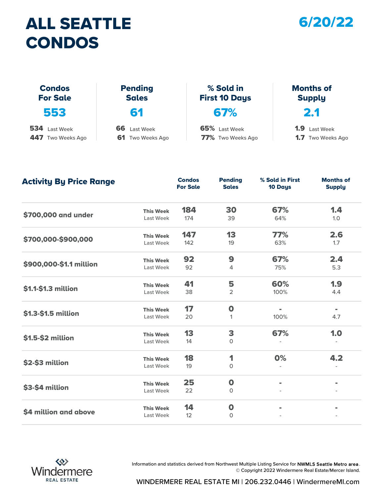#### ALL SEATTLE CONDOS



| % Sold in<br><b>Pending</b><br><b>Months of</b><br><b>Condos</b><br><b>For Sale</b><br><b>Sales</b><br><b>First 10 Days</b><br><b>Supply</b> | <b>CONDOS</b>     |                  |                   |                               |
|----------------------------------------------------------------------------------------------------------------------------------------------|-------------------|------------------|-------------------|-------------------------------|
|                                                                                                                                              |                   |                  |                   |                               |
|                                                                                                                                              | 553               | 61               | 67%               | 2.1                           |
|                                                                                                                                              | 534<br>Last Week  | 66<br>Last Week  | 65% Last Week     | 1.9 <sup>°</sup><br>Last Week |
|                                                                                                                                              | 447 Two Weeks Ago | 61 Two Weeks Ago | 77% Two Weeks Ago | <b>1.7</b> Two Weeks Ago      |

| <b>Activity By Price Range</b> |                  | <b>Condos</b><br><b>For Sale</b> | <b>Pending</b><br><b>Sales</b> | % Sold in First<br>10 Days | <b>Months of</b><br><b>Supply</b> |
|--------------------------------|------------------|----------------------------------|--------------------------------|----------------------------|-----------------------------------|
|                                | <b>This Week</b> | 184                              | 30                             | 67%                        | 1.4                               |
| \$700,000 and under            | Last Week        | 174                              | 39                             | 64%                        | 1.0                               |
|                                | <b>This Week</b> | 147                              | 13                             | 77%                        | 2.6                               |
| \$700,000-\$900,000            | Last Week        | 142                              | 19                             | 63%                        | 1.7                               |
|                                | <b>This Week</b> | 92                               | 9                              | 67%                        | 2.4                               |
| \$900,000-\$1.1 million        | Last Week        | 92                               | 4                              | 75%                        | 5.3                               |
|                                | <b>This Week</b> | 41                               | 5                              | 60%                        | 1.9                               |
| \$1.1-\$1.3 million            | Last Week        | 38                               | 2                              | 100%                       | 4.4                               |
|                                | <b>This Week</b> | 17                               | $\mathbf 0$                    | $\blacksquare$             | $\blacksquare$                    |
| \$1.3-\$1.5 million            | Last Week        | 20                               | 1                              | 100%                       | 4.7                               |
|                                | <b>This Week</b> | 13                               | 3                              | 67%                        | 1.0                               |
| \$1.5-\$2 million              | Last Week        | 14                               | $\mathbf 0$                    |                            |                                   |
|                                | <b>This Week</b> | 18                               | 1                              | 0%                         | 4.2                               |
| \$2-\$3 million                | Last Week        | 19                               | $\mathsf{O}$                   |                            |                                   |
|                                | <b>This Week</b> | 25                               | $\mathbf 0$                    | $\blacksquare$             | $\blacksquare$                    |
| \$3-\$4 million                | Last Week        | 22                               | $\circ$                        |                            |                                   |
|                                | <b>This Week</b> | 14                               | $\mathbf 0$                    |                            |                                   |
| \$4 million and above          | Last Week        | 12                               | $\mathbf 0$                    |                            |                                   |



Information and statistics derived from Northwest Multiple Listing Service for NWMLS Seattle Metro area . © Copyright 2022 Windermere Real Estate/Mercer Island.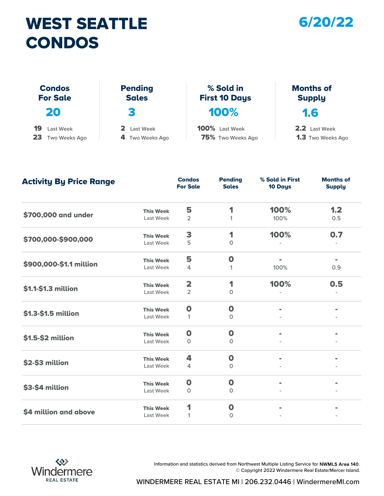## WEST SEATTLE 6/20/22 CONDOS



| CONDOS                           |                                |                                   |                                   |
|----------------------------------|--------------------------------|-----------------------------------|-----------------------------------|
|                                  |                                |                                   |                                   |
| <b>Condos</b><br><b>For Sale</b> | <b>Pending</b><br><b>Sales</b> | % Sold in<br><b>First 10 Days</b> | <b>Months of</b><br><b>Supply</b> |
| 20                               | З                              | 100%                              | 1.6                               |
| 19<br>Last Week                  | 2<br>Last Week                 | 100% Last Week                    | 2.2 Last Week                     |
| 23<br>Two Weeks Ago              | 4 Two Weeks Ago                | 75% Two Weeks Ago                 | <b>1.3</b> Two Weeks Ago          |

| <b>Activity By Price Range</b> |                  | <b>Condos</b><br><b>For Sale</b> | <b>Pending</b><br><b>Sales</b> | % Sold in First<br>10 Days | <b>Months of</b><br><b>Supply</b> |
|--------------------------------|------------------|----------------------------------|--------------------------------|----------------------------|-----------------------------------|
|                                | <b>This Week</b> | 5                                | 1                              | 100%                       | 1.2                               |
| \$700,000 and under            | Last Week        | $\overline{2}$                   | 1                              | 100%                       | 0.5                               |
|                                | <b>This Week</b> | 3                                | 1                              | 100%                       | 0.7                               |
| \$700,000-\$900,000            | Last Week        | 5                                | $\mathsf{O}$                   |                            |                                   |
|                                | <b>This Week</b> | 5                                | $\mathbf 0$                    |                            |                                   |
| \$900,000-\$1.1 million        | Last Week        | 4                                | 1                              | 100%                       | 0.9                               |
|                                | <b>This Week</b> | $\overline{\mathbf{2}}$          | 1                              | 100%                       | 0.5                               |
| \$1.1-\$1.3 million            | Last Week        | $\overline{2}$                   | $\mathsf{O}$                   |                            |                                   |
|                                | <b>This Week</b> | $\mathbf 0$                      | $\mathbf 0$                    | $\blacksquare$             | $\blacksquare$                    |
| \$1.3-\$1.5 million            | Last Week        | $\mathbf{1}$                     | $\circ$                        |                            |                                   |
|                                | <b>This Week</b> | $\mathbf 0$                      | $\mathbf 0$                    |                            |                                   |
| \$1.5-\$2 million              | Last Week        | 0                                | $\Omega$                       |                            |                                   |
|                                | <b>This Week</b> | 4                                | $\mathbf 0$                    |                            |                                   |
| \$2-\$3 million                | Last Week        | 4                                | $\circ$                        |                            |                                   |
|                                | <b>This Week</b> | $\mathbf 0$                      | $\mathbf 0$                    | $\blacksquare$             | $\blacksquare$                    |
| \$3-\$4 million                | Last Week        | $\circ$                          | $\mathbf 0$                    |                            |                                   |
|                                | <b>This Week</b> | 1                                | $\boldsymbol{0}$               |                            |                                   |
| \$4 million and above          | Last Week        | 1                                | $\mathbf{O}$                   |                            |                                   |



Information and statistics derived from Northwest Multiple Listing Service for NWMLS Area 140. © Copyright 2022 Windermere Real Estate/Mercer Island.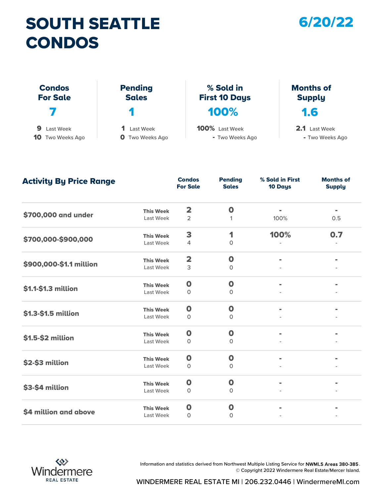## SOUTH SEATTLE 6/20/22 CONDOS

| <b>CONDOS</b>                    |                                |                                   |                                   |
|----------------------------------|--------------------------------|-----------------------------------|-----------------------------------|
| <b>Condos</b><br><b>For Sale</b> | <b>Pending</b><br><b>Sales</b> | % Sold in<br><b>First 10 Days</b> | <b>Months of</b><br><b>Supply</b> |
|                                  | 1                              | 100%                              | 1.6                               |
|                                  |                                |                                   |                                   |
| 9<br>Last Week                   | 1<br><b>Last Week</b>          | 100% Last Week                    | 2.1 Last Week                     |
| <b>10</b> Two Weeks Ago          | Two Weeks Ago<br>0             | - Two Weeks Ago                   | - Two Weeks Ago                   |

| <b>Activity By Price Range</b> |                  | <b>Condos</b><br><b>For Sale</b> | <b>Pending</b><br><b>Sales</b> | % Sold in First<br>10 Days | <b>Months of</b><br><b>Supply</b> |
|--------------------------------|------------------|----------------------------------|--------------------------------|----------------------------|-----------------------------------|
|                                | <b>This Week</b> | $\overline{\mathbf{2}}$          | $\mathbf 0$                    |                            |                                   |
| \$700,000 and under            | Last Week        | $\overline{2}$                   | 1                              | 100%                       | 0.5                               |
|                                | <b>This Week</b> | 3                                | 1                              | 100%                       | 0.7                               |
| \$700,000-\$900,000            | Last Week        | 4                                | $\circ$                        |                            |                                   |
|                                | <b>This Week</b> | $\overline{\mathbf{2}}$          | $\mathbf 0$                    | $\blacksquare$             |                                   |
| \$900,000-\$1.1 million        | Last Week        | 3                                | $\circ$                        |                            |                                   |
|                                | <b>This Week</b> | $\mathbf 0$                      | $\mathbf 0$                    |                            |                                   |
| \$1.1-\$1.3 million            | Last Week        | $\circ$                          | $\circ$                        |                            |                                   |
|                                | <b>This Week</b> | $\mathbf 0$                      | $\mathbf 0$                    | $\blacksquare$             |                                   |
| \$1.3-\$1.5 million            | Last Week        | $\circ$                          | $\mathbf 0$                    |                            |                                   |
|                                | <b>This Week</b> | $\mathbf 0$                      | $\mathbf 0$                    | $\blacksquare$             |                                   |
| \$1.5-\$2 million              | Last Week        | $\circ$                          | $\mathbf{O}$                   |                            |                                   |
|                                | <b>This Week</b> | $\mathbf 0$                      | $\mathbf 0$                    |                            |                                   |
| \$2-\$3 million                | Last Week        | 0                                | 0                              |                            |                                   |
|                                | <b>This Week</b> | $\mathbf 0$                      | $\mathbf 0$                    | $\blacksquare$             |                                   |
| \$3-\$4 million                | Last Week        | 0                                | 0                              |                            |                                   |
|                                | <b>This Week</b> | $\mathbf 0$                      | $\mathbf 0$                    |                            |                                   |
| \$4 million and above          | Last Week        | $\circ$                          | 0                              |                            |                                   |



Information and statistics derived from Northwest Multiple Listing Service for NWMLS Areas 380-385. © Copyright 2022 Windermere Real Estate/Mercer Island.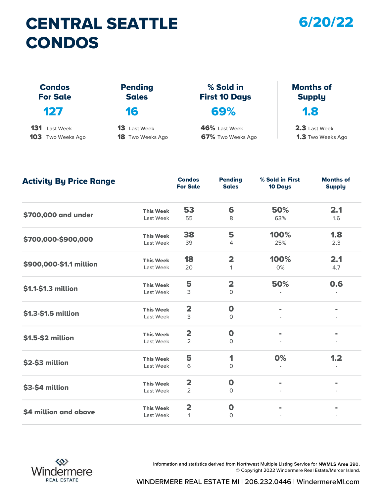## CENTRAL SEATTLE 6/20/22 CONDOS

| <b>CONDOS</b>                    |                                |                                   |                                   |
|----------------------------------|--------------------------------|-----------------------------------|-----------------------------------|
| <b>Condos</b><br><b>For Sale</b> | <b>Pending</b><br><b>Sales</b> | % Sold in<br><b>First 10 Days</b> | <b>Months of</b><br><b>Supply</b> |
| 127                              | 16                             | 69%                               | $\overline{\mathbf{1.8}}$         |
| 131<br>Last Week                 | 13<br><b>Last Week</b>         | 46% Last Week                     | 2.3 Last Week                     |
| <b>103</b> Two Weeks Ago         | <b>18</b> Two Weeks Ago        | 67% Two Weeks Ago                 | <b>1.3</b> Two Weeks Ago          |

1.3 Two Weeks Ago 2.3 Last Week

| <b>Activity By Price Range</b> |                  | <b>Condos</b><br><b>For Sale</b> | <b>Pending</b><br><b>Sales</b> | % Sold in First<br>10 Days | <b>Months of</b><br><b>Supply</b> |
|--------------------------------|------------------|----------------------------------|--------------------------------|----------------------------|-----------------------------------|
|                                | <b>This Week</b> | 53                               | 6                              | 50%                        | 2.1                               |
| \$700,000 and under            | Last Week        | 55                               | 8                              | 63%                        | 1.6                               |
|                                | <b>This Week</b> | 38                               | 5                              | 100%                       | 1.8                               |
| \$700,000-\$900,000            | Last Week        | 39                               | 4                              | 25%                        | 2.3                               |
|                                | <b>This Week</b> | 18                               | $\overline{\mathbf{2}}$        | 100%                       | 2.1                               |
| \$900,000-\$1.1 million        | Last Week        | 20                               | 1                              | 0%                         | 4.7                               |
|                                | <b>This Week</b> | 5                                | $\overline{\mathbf{2}}$        | 50%                        | 0.6                               |
| \$1.1-\$1.3 million            | Last Week        | 3                                | $\Omega$                       |                            |                                   |
|                                | <b>This Week</b> | $\overline{\mathbf{2}}$          | $\mathbf 0$                    | $\blacksquare$             | $\blacksquare$                    |
| \$1.3-\$1.5 million            | Last Week        | 3                                | $\mathbf{O}$                   |                            |                                   |
|                                | <b>This Week</b> | $\overline{\mathbf{2}}$          | $\mathbf 0$                    | $\blacksquare$             |                                   |
| \$1.5-\$2 million              | Last Week        | $\overline{2}$                   | $\Omega$                       |                            |                                   |
|                                | <b>This Week</b> | 5                                | 1                              | 0%                         | 1.2                               |
| \$2-\$3 million                | Last Week        | 6                                | 0                              |                            |                                   |
|                                | <b>This Week</b> | $\overline{\mathbf{2}}$          | $\mathbf 0$                    | $\blacksquare$             | $\blacksquare$                    |
| \$3-\$4 million                | Last Week        | $\overline{2}$                   | $\Omega$                       |                            |                                   |
|                                | <b>This Week</b> | $\overline{\mathbf{2}}$          | $\mathbf 0$                    |                            |                                   |
| \$4 million and above          | Last Week        | 1                                | $\Omega$                       |                            |                                   |



Information and statistics derived from Northwest Multiple Listing Service for NWMLS Area 390. © Copyright 2022 Windermere Real Estate/Mercer Island.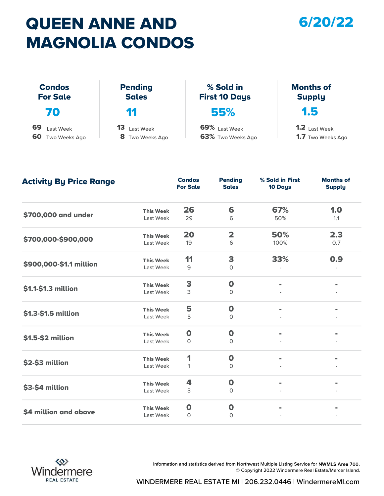## QUEEN ANNE AND 6/20/22 MAGNOLIA CONDOS



| <b>MAGNOLIA CONDOS</b>                        |                                    |                                    |                                                  |  |  |  |
|-----------------------------------------------|------------------------------------|------------------------------------|--------------------------------------------------|--|--|--|
| <b>Condos</b><br><b>For Sale</b>              | <b>Pending</b><br><b>Sales</b>     | % Sold in<br><b>First 10 Days</b>  | <b>Months of</b><br><b>Supply</b>                |  |  |  |
| 70                                            | 11                                 | 55%                                | 1.5                                              |  |  |  |
| 69<br>Last Week<br>60<br><b>Two Weeks Ago</b> | 13<br>Last Week<br>8 Two Weeks Ago | 69% Last Week<br>63% Two Weeks Ago | <b>1.2</b> Last Week<br><b>1.7</b> Two Weeks Ago |  |  |  |

| <b>Activity By Price Range</b> |                  | <b>Condos</b><br><b>For Sale</b> | <b>Pending</b><br><b>Sales</b> | % Sold in First<br>10 Days | <b>Months of</b><br><b>Supply</b> |
|--------------------------------|------------------|----------------------------------|--------------------------------|----------------------------|-----------------------------------|
|                                | <b>This Week</b> | 26                               | 6                              | 67%                        | 1.0                               |
| \$700,000 and under            | Last Week        | 29                               | 6                              | 50%                        | 1.1                               |
|                                | <b>This Week</b> | 20                               | $\overline{\mathbf{2}}$        | 50%                        | 2.3                               |
| \$700,000-\$900,000            | Last Week        | 19                               | 6                              | 100%                       | 0.7                               |
|                                | <b>This Week</b> | 11                               | 3                              | 33%                        | 0.9                               |
| \$900,000-\$1.1 million        | Last Week        | 9                                | $\Omega$                       |                            |                                   |
|                                | <b>This Week</b> | 3                                | $\mathbf 0$                    |                            |                                   |
| \$1.1-\$1.3 million            | Last Week        | 3                                | 0                              |                            |                                   |
|                                | <b>This Week</b> | 5                                | $\mathbf 0$                    | $\blacksquare$             | $\blacksquare$                    |
| \$1.3-\$1.5 million            | Last Week        | 5                                | $\circ$                        |                            |                                   |
|                                | <b>This Week</b> | $\mathbf 0$                      | $\mathbf 0$                    | $\blacksquare$             |                                   |
| \$1.5-\$2 million              | Last Week        | $\circ$                          | $\mathbf 0$                    |                            |                                   |
|                                | <b>This Week</b> | 1                                | $\mathbf 0$                    | $\blacksquare$             |                                   |
| \$2-\$3 million                | Last Week        | $\mathbf{1}$                     | $\mathbf 0$                    |                            |                                   |
|                                | <b>This Week</b> | 4                                | $\mathbf 0$                    | $\blacksquare$             |                                   |
| \$3-\$4 million                | Last Week        | 3                                | $\circ$                        |                            |                                   |
|                                | <b>This Week</b> | $\bullet$                        | $\mathbf 0$                    |                            |                                   |
| \$4 million and above          | Last Week        | $\circ$                          | 0                              |                            |                                   |



Information and statistics derived from Northwest Multiple Listing Service for NWMLS Area 700. © Copyright 2022 Windermere Real Estate/Mercer Island.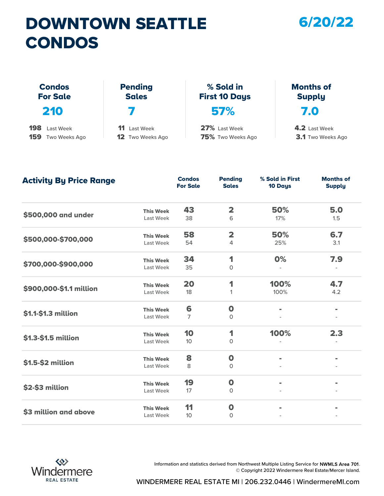## DOWNTOWN SEATTLE CONDOS

#### 6/20/22

| <b>CONDOS</b>                    |                                |                                   |                                   |
|----------------------------------|--------------------------------|-----------------------------------|-----------------------------------|
| <b>Condos</b><br><b>For Sale</b> | <b>Pending</b><br><b>Sales</b> | % Sold in<br><b>First 10 Days</b> | <b>Months of</b><br><b>Supply</b> |
| 210                              |                                | 57%                               | 7.0                               |
| 198<br>Last Week                 | 11<br>Last Week                | 27% Last Week                     | 4.2 Last Week                     |
| 159<br>Two Weeks Ago             | <b>12</b> Two Weeks Ago        | 75% Two Weeks Ago                 | <b>3.1</b> Two Weeks Ago          |

| <b>Activity By Price Range</b> |                  | <b>Condos</b><br><b>For Sale</b> | <b>Pending</b><br><b>Sales</b> | % Sold in First<br>10 Days | <b>Months of</b><br><b>Supply</b> |
|--------------------------------|------------------|----------------------------------|--------------------------------|----------------------------|-----------------------------------|
|                                | <b>This Week</b> | 43                               | $\overline{\mathbf{2}}$        | 50%                        | 5.0                               |
| \$500,000 and under            | Last Week        | 38                               | 6                              | 17%                        | 1.5                               |
|                                | <b>This Week</b> | 58                               | $\overline{\mathbf{2}}$        | 50%                        | 6.7                               |
| \$500,000-\$700,000            | Last Week        | 54                               | 4                              | 25%                        | 3.1                               |
|                                | <b>This Week</b> | 34                               | 1                              | 0%                         | 7.9                               |
| \$700,000-\$900,000            | Last Week        | 35                               | $\mathbf{O}$                   |                            |                                   |
|                                | <b>This Week</b> | 20                               | 1                              | 100%                       | 4.7                               |
| \$900,000-\$1.1 million        | Last Week        | 18                               | 1                              | 100%                       | 4.2                               |
|                                | <b>This Week</b> | 6                                | $\mathbf 0$                    | $\blacksquare$             | $\blacksquare$                    |
| \$1.1-\$1.3 million            | Last Week        | 7                                | $\mathbf{O}$                   |                            |                                   |
|                                | <b>This Week</b> | 10                               | 1                              | 100%                       | 2.3                               |
| \$1.3-\$1.5 million            | Last Week        | 10 <sup>10</sup>                 | $\mathbf{O}$                   |                            |                                   |
|                                | <b>This Week</b> | 8                                | $\mathbf 0$                    |                            |                                   |
| \$1.5-\$2 million              | Last Week        | 8                                | $\mathbf 0$                    |                            |                                   |
|                                | <b>This Week</b> | 19                               | $\mathbf 0$                    | $\blacksquare$             |                                   |
| \$2-\$3 million                | Last Week        | 17                               | $\mathbf{O}$                   |                            |                                   |
|                                | <b>This Week</b> | 11                               | $\mathbf 0$                    |                            |                                   |
| \$3 million and above          | Last Week        | 10 <sup>10</sup>                 | $\mathbf{O}$                   |                            |                                   |



Information and statistics derived from Northwest Multiple Listing Service for NWMLS Area 701. © Copyright 2022 Windermere Real Estate/Mercer Island.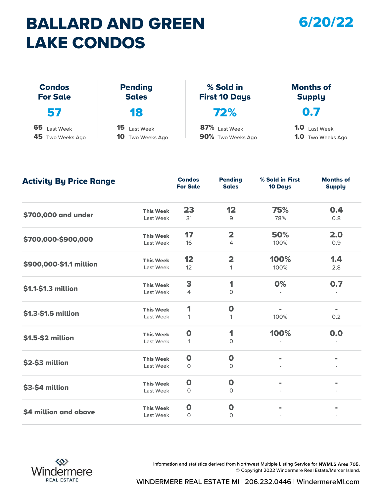## BALLARD AND GREEN LAKE CONDOS

#### 6/20/22

| <b>LAKE CONDOS</b>               |                                            |                                    |                                                  |
|----------------------------------|--------------------------------------------|------------------------------------|--------------------------------------------------|
| <b>Condos</b><br><b>For Sale</b> | <b>Pending</b><br><b>Sales</b>             | % Sold in<br><b>First 10 Days</b>  | <b>Months of</b><br><b>Supply</b>                |
| 57                               | 18                                         | 72%                                | 0.7                                              |
| 65 Last Week<br>45 Two Weeks Ago | 15<br>Last Week<br><b>10</b> Two Weeks Ago | 87% Last Week<br>90% Two Weeks Ago | <b>1.0</b> Last Week<br><b>1.0</b> Two Weeks Ago |

Last Week 31 9 78% 0.8 Last Week 16 4 100% 0.9 Last Week 12 1 1 100% 2.8 Last Week 4 0 - - Last Week 1 1 1 1 100% 0.2 Last Week 1 0 Last Week 0 0 - - Last Week 0 0 - - Last Week 0 0 - -  $\textsf{S4}\text{ million and above}$ -  $$3-$4 million$  This Week 0 0 - - - - $$2-\$3$  million This Week  $\begin{matrix}0\end{matrix}$  -**\$1.5-\$2 million** This Week **0** 1 0 - - 100% 0.0 **\$1.3-\$1.5 million** This Week 1 0<br>Last Week 1 1 1.4 \$1.1-\$1.3 million This Week 3 1 0% 0.7 **\$900,000-\$1.1 million** This Week **12** 2<br>Last Week 12 1 75% 100% 0.4  $$700,000-$900,000$  This Week  $17$  2 50% 2.0 **\$700,000 and under** This Week 23 12 **Condos** Pending<br>For Sale Sales For Sale **Pending** Sales 10 Days % Sold in First Months of **Supply** Activity By Price Range



Information and statistics derived from Northwest Multiple Listing Service for NWMLS Area 705. © Copyright 2022 Windermere Real Estate/Mercer Island.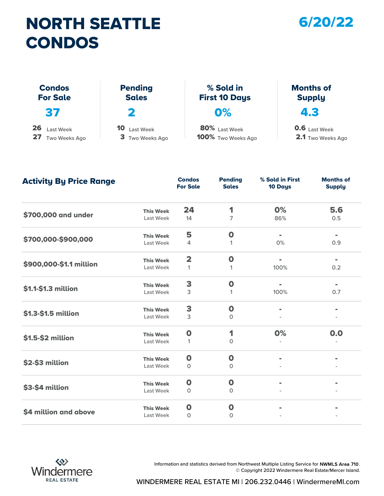## NORTH SEATTLE CONDOS



2.1 Two Weeks Ago

| <b>CONDOS</b>                          |                                    |                                     |                                           |
|----------------------------------------|------------------------------------|-------------------------------------|-------------------------------------------|
| <b>Condos</b><br><b>For Sale</b>       | <b>Pending</b><br><b>Sales</b>     | % Sold in<br><b>First 10 Days</b>   | <b>Months of</b><br><b>Supply</b>         |
| 37                                     | 2                                  | 0%                                  | 4.3                                       |
| 26<br>Last Week<br>27<br>Two Weeks Ago | 10<br>Last Week<br>3 Two Weeks Ago | 80% Last Week<br>100% Two Weeks Ago | <b>0.6</b> Last Week<br>2.1 Two Weeks Ago |

Last Week 14 7 86% 0.5 Last Week 4 1 0% 0.9 Last Week 1 1 100% 0.2 Last Week 3 1 100% 0.7 Last Week 3 0 - - Last Week 1 0 Last Week 0 0 - - Last Week 0 0 - - Last Week 0 0 - -  $\textsf{S4}\text{ million and above}$ -  $$3-$4 million$  This Week 0 0 - - - - $$2-\$3$  million This Week  $\begin{matrix}0\end{matrix}$  -**\$1.5-\$2 million** This Week **0** 1 0 - - 0% 0.0 **\$1.3-\$1.5 million** This Week **3** 0<br>Last Week 3 -  $$1.1-$1.3 million$  This Week  $$3$  0 -  $$1.1-$1.3 million$  0 -  $$0.7$ **\$900,000-\$1.1 million** This Week 2 0<br>Last Week 1 1 0% - 5.6 \$700,000-\$900,000 This Week 5 0 - -  $$700,000$  and under This Week  $24$  1 **Condos** Pending<br>For Sale Sales For Sale Pending Sales 10 Days % Sold in First Months of **Supply** Activity By Price Range



Information and statistics derived from Northwest Multiple Listing Service for NWMLS Area 710. © Copyright 2022 Windermere Real Estate/Mercer Island.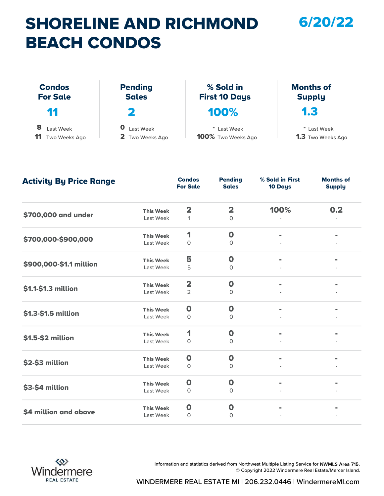## SHORELINE AND RICHMOND BEACH CONDOS

| <b>BEACH CONDOS</b>              |                                |                                   |                                   |
|----------------------------------|--------------------------------|-----------------------------------|-----------------------------------|
| <b>Condos</b><br><b>For Sale</b> | <b>Pending</b><br><b>Sales</b> | % Sold in<br><b>First 10 Days</b> | <b>Months of</b><br><b>Supply</b> |
| 11                               | 2                              | 100%                              | 1.3                               |
| 8<br>Last Week                   | 0<br>Last Week                 | " Last Week                       | " Last Week                       |
| Two Weeks Ago                    | 2 Two Weeks Ago                | 100% Two Weeks Ago                | <b>1.3</b> Two Weeks Ago          |

6/20/22

| <b>Activity By Price Range</b> |                  | <b>Condos</b><br><b>For Sale</b> | <b>Pending</b><br><b>Sales</b> | % Sold in First<br>10 Days | <b>Months of</b><br><b>Supply</b> |
|--------------------------------|------------------|----------------------------------|--------------------------------|----------------------------|-----------------------------------|
|                                | <b>This Week</b> | $\overline{\mathbf{2}}$          | $\overline{\mathbf{2}}$        | 100%                       | 0.2                               |
| \$700,000 and under            | Last Week        | $\mathbf{1}$                     | $\circ$                        |                            |                                   |
|                                | <b>This Week</b> | 1                                | $\mathbf 0$                    | $\blacksquare$             |                                   |
| \$700,000-\$900,000            | Last Week        | $\circ$                          | $\circ$                        |                            |                                   |
|                                | <b>This Week</b> | 5                                | $\mathbf 0$                    |                            |                                   |
| \$900,000-\$1.1 million        | Last Week        | 5                                | $\Omega$                       |                            |                                   |
| \$1.1-\$1.3 million            | <b>This Week</b> | $\overline{\mathbf{2}}$          | $\mathbf 0$                    |                            |                                   |
|                                | Last Week        | $\overline{2}$                   | $\circ$                        |                            |                                   |
|                                | <b>This Week</b> | $\mathbf 0$                      | $\mathbf 0$                    | $\blacksquare$             |                                   |
| \$1.3-\$1.5 million            | Last Week        | $\circ$                          | $\circ$                        |                            |                                   |
|                                | <b>This Week</b> | 1                                | $\mathbf 0$                    | $\blacksquare$             |                                   |
| \$1.5-\$2 million              | Last Week        | $\mathbf{O}$                     | $\Omega$                       |                            |                                   |
|                                | <b>This Week</b> | $\mathbf 0$                      | $\mathbf 0$                    |                            |                                   |
| \$2-\$3 million                | Last Week        | 0                                | 0                              |                            |                                   |
|                                | <b>This Week</b> | $\mathbf 0$                      | $\mathbf 0$                    | $\blacksquare$             |                                   |
| \$3-\$4 million                | Last Week        | $\mathbf{O}$                     | $\mathbf{O}$                   |                            |                                   |
|                                | <b>This Week</b> | $\mathbf 0$                      | $\mathbf 0$                    |                            |                                   |
| \$4 million and above          | Last Week        | $\circ$                          | 0                              |                            |                                   |



Information and statistics derived from Northwest Multiple Listing Service for NWMLS Area 715. © Copyright 2022 Windermere Real Estate/Mercer Island.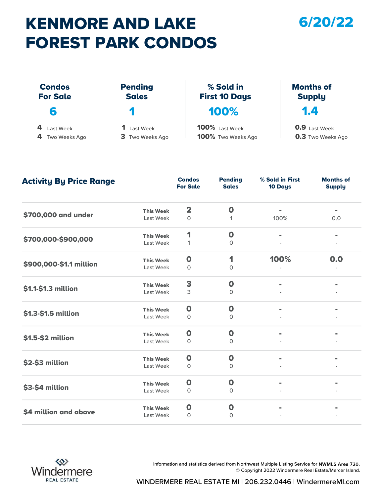## KENMORE AND LAKE FOREST PARK CONDOS

#### 6/20/22

|                 | <b>FOREST PARK CONDOS</b> |                       |                          |
|-----------------|---------------------------|-----------------------|--------------------------|
| <b>Condos</b>   | <b>Pending</b>            | % Sold in             | <b>Months of</b>         |
| <b>For Sale</b> | <b>Sales</b>              | <b>First 10 Days</b>  | <b>Supply</b>            |
| 6               | 7                         | 100%                  | 1.4                      |
| Last Week       | 1 Last Week               | <b>100%</b> Last Week | <b>0.9</b> Last Week     |
| Two Weeks Ago   | 3 Two Weeks Ago           | 100% Two Weeks Ago    | <b>0.3</b> Two Weeks Ago |

| <b>Activity By Price Range</b> |                  | <b>Condos</b><br><b>For Sale</b> | <b>Pending</b><br><b>Sales</b> | % Sold in First<br>10 Days | <b>Months of</b><br><b>Supply</b> |
|--------------------------------|------------------|----------------------------------|--------------------------------|----------------------------|-----------------------------------|
|                                | <b>This Week</b> | $\overline{\mathbf{2}}$          | $\mathbf 0$                    | $\blacksquare$             | $\blacksquare$                    |
| \$700,000 and under            | Last Week        | $\circ$                          | 1                              | 100%                       | 0.0                               |
|                                | <b>This Week</b> | 1                                | $\mathbf 0$                    | $\blacksquare$             | $\blacksquare$                    |
| \$700,000-\$900,000            | Last Week        | 1                                | $\mathbf{O}$                   |                            |                                   |
|                                | <b>This Week</b> | $\mathbf 0$                      | 1                              | 100%                       | 0.0                               |
| \$900,000-\$1.1 million        | Last Week        | $\circ$                          | $\mathbf{O}$                   |                            |                                   |
| \$1.1-\$1.3 million            | <b>This Week</b> | 3                                | $\mathbf 0$                    |                            |                                   |
|                                | Last Week        | 3                                | $\mathbf{O}$                   |                            |                                   |
|                                | <b>This Week</b> | $\mathbf 0$                      | $\mathbf 0$                    | $\blacksquare$             |                                   |
| \$1.3-\$1.5 million            | Last Week        | 0                                | $\mathbf 0$                    |                            |                                   |
|                                | <b>This Week</b> | $\mathbf 0$                      | $\mathbf 0$                    | $\blacksquare$             |                                   |
| \$1.5-\$2 million              | Last Week        | $\Omega$                         | $\Omega$                       |                            |                                   |
|                                | <b>This Week</b> | $\mathbf 0$                      | $\mathbf 0$                    |                            |                                   |
| \$2-\$3 million                | Last Week        | 0                                | $\mathbf 0$                    |                            |                                   |
|                                | <b>This Week</b> | $\mathbf 0$                      | $\mathbf 0$                    | $\blacksquare$             |                                   |
| \$3-\$4 million                | Last Week        | 0                                | $\mathbf 0$                    |                            |                                   |
|                                | <b>This Week</b> | $\mathbf 0$                      | $\mathbf 0$                    |                            |                                   |
| \$4 million and above          | Last Week        | 0                                | $\Omega$                       |                            |                                   |



Information and statistics derived from Northwest Multiple Listing Service for NWMLS Area 720. © Copyright 2022 Windermere Real Estate/Mercer Island.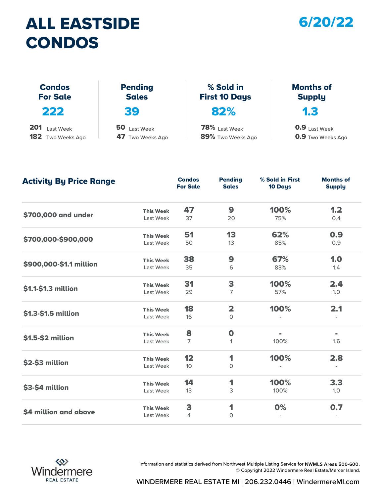## ALL EASTSIDE CONDOS



| <b>CONDOS</b>                    |                                |                                   |                                   |
|----------------------------------|--------------------------------|-----------------------------------|-----------------------------------|
| <b>Condos</b><br><b>For Sale</b> | <b>Pending</b><br><b>Sales</b> | % Sold in<br><b>First 10 Days</b> | <b>Months of</b><br><b>Supply</b> |
| 222                              | 39                             | 82%                               | 1.3                               |
| 201<br>Last Week                 | 50 Last Week                   | 78% Last Week                     | 0.9 Last Week                     |
| <b>182</b> Two Weeks Ago         | 47 Two Weeks Ago               | 89% Two Weeks Ago                 | <b>0.9</b> Two Weeks Ago          |

| <b>Activity By Price Range</b> |                  | <b>Condos</b><br><b>For Sale</b> | <b>Pending</b><br><b>Sales</b> | % Sold in First<br>10 Days | <b>Months of</b><br><b>Supply</b> |
|--------------------------------|------------------|----------------------------------|--------------------------------|----------------------------|-----------------------------------|
|                                | <b>This Week</b> | 47                               | 9                              | 100%                       | 1.2                               |
| \$700,000 and under            | Last Week        | 37                               | 20                             | 75%                        | 0.4                               |
|                                | <b>This Week</b> | 51                               | 13                             | 62%                        | 0.9                               |
| \$700,000-\$900,000            | Last Week        | 50                               | 13                             | 85%                        | 0.9                               |
|                                | <b>This Week</b> | 38                               | 9                              | 67%                        | 1.0                               |
| \$900,000-\$1.1 million        | Last Week        | 35                               | 6                              | 83%                        | 1.4                               |
| \$1.1-\$1.3 million            | <b>This Week</b> | 31                               | 3                              | 100%                       | 2.4                               |
|                                | Last Week        | 29                               | $\overline{7}$                 | 57%                        | 1.0                               |
|                                | <b>This Week</b> | 18                               | $\overline{\mathbf{2}}$        | 100%                       | 2.1                               |
| \$1.3-\$1.5 million            | Last Week        | 16                               | $\mathsf{O}$                   |                            |                                   |
|                                | <b>This Week</b> | 8                                | $\mathbf 0$                    |                            | $\blacksquare$                    |
| \$1.5-\$2 million              | Last Week        | $\overline{7}$                   | $\mathbf{1}$                   | 100%                       | 1.6                               |
|                                | <b>This Week</b> | 12                               | 1                              | 100%                       | 2.8                               |
| \$2-\$3 million                | Last Week        | 10 <sup>°</sup>                  | $\circ$                        |                            |                                   |
|                                | <b>This Week</b> | 14                               | 1                              | 100%                       | 3.3                               |
| \$3-\$4 million                | Last Week        | 13                               | 3                              | 100%                       | 1.0                               |
|                                | <b>This Week</b> | 3                                | 1                              | 0%                         | 0.7                               |
| \$4 million and above          | Last Week        | 4                                | $\circ$                        |                            |                                   |



Information and statistics derived from Northwest Multiple Listing Service for NWMLS Areas 500-600 . © Copyright 2022 Windermere Real Estate/Mercer Island.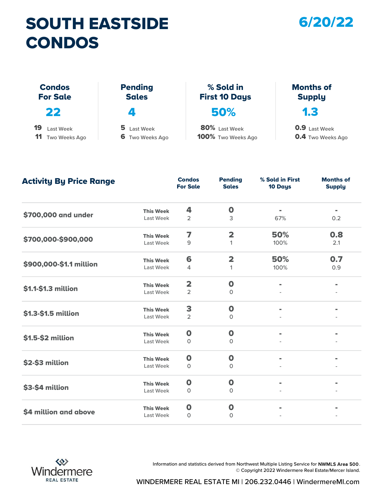## SOUTH EASTSIDE CONDOS

#### 6/20/22

| <b>CONDOS</b>                    |                                |                                   |                                   |
|----------------------------------|--------------------------------|-----------------------------------|-----------------------------------|
| <b>Condos</b><br><b>For Sale</b> | <b>Pending</b><br><b>Sales</b> | % Sold in<br><b>First 10 Days</b> | <b>Months of</b><br><b>Supply</b> |
| 22                               | $\overline{\phantom{a}}$       | 50%                               | 1.3                               |
| 19<br>Last Week                  | 5 Last Week                    | 80% Last Week                     | <b>0.9</b> Last Week              |
| 11<br>Two Weeks Ago              | <b>6</b> Two Weeks Ago         | 100% Two Weeks Ago                | <b>0.4</b> Two Weeks Ago          |

| <b>Activity By Price Range</b> |                  | <b>Condos</b><br><b>For Sale</b> | <b>Pending</b><br><b>Sales</b> | % Sold in First<br>10 Days | <b>Months of</b><br><b>Supply</b> |
|--------------------------------|------------------|----------------------------------|--------------------------------|----------------------------|-----------------------------------|
|                                | <b>This Week</b> | 4                                | $\mathbf 0$                    | $\blacksquare$             | $\blacksquare$                    |
| \$700,000 and under            | Last Week        | $\overline{2}$                   | 3                              | 67%                        | 0.2                               |
|                                | <b>This Week</b> | 7                                | $\overline{\mathbf{2}}$        | 50%                        | 0.8                               |
| \$700,000-\$900,000            | Last Week        | 9                                | 1                              | 100%                       | 2.1                               |
|                                | <b>This Week</b> | 6                                | $\overline{\mathbf{2}}$        | 50%                        | 0.7                               |
| \$900,000-\$1.1 million        | Last Week        | 4                                | 1                              | 100%                       | 0.9                               |
| \$1.1-\$1.3 million            | <b>This Week</b> | $\overline{\mathbf{2}}$          | $\mathbf 0$                    |                            |                                   |
|                                | Last Week        | $\overline{2}$                   | $\mathbf 0$                    |                            |                                   |
|                                | <b>This Week</b> | 3                                | $\mathbf 0$                    | $\blacksquare$             | $\blacksquare$                    |
| \$1.3-\$1.5 million            | Last Week        | $\overline{2}$                   | $\mathbf{O}$                   |                            |                                   |
|                                | <b>This Week</b> | $\mathbf 0$                      | $\mathbf 0$                    | $\blacksquare$             |                                   |
| \$1.5-\$2 million              | Last Week        | $\circ$                          | $\mathbf 0$                    |                            |                                   |
|                                | <b>This Week</b> | $\bullet$                        | $\mathbf 0$                    |                            |                                   |
| \$2-\$3 million                | Last Week        | $\circ$                          | $\mathbf 0$                    |                            |                                   |
|                                | <b>This Week</b> | $\mathbf 0$                      | $\mathbf 0$                    | $\blacksquare$             |                                   |
| \$3-\$4 million                | Last Week        | 0                                | 0                              |                            |                                   |
|                                | <b>This Week</b> | $\mathbf 0$                      | $\mathbf 0$                    |                            |                                   |
| \$4 million and above          | Last Week        | $\mathbf{O}$                     | $\mathbf{0}$                   |                            |                                   |



Information and statistics derived from Northwest Multiple Listing Service for NWMLS Area 500. © Copyright 2022 Windermere Real Estate/Mercer Island.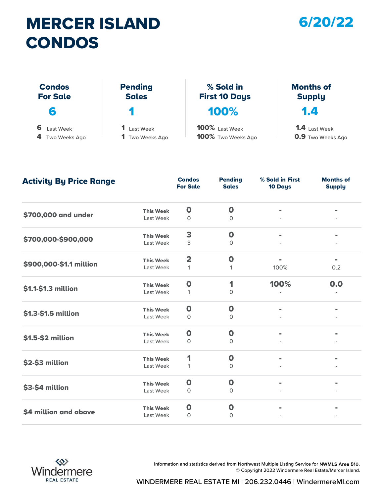## MERCER ISLAND CONDOS

#### 6/20/22

| CONDOS                           |                                |                                   |                                   |
|----------------------------------|--------------------------------|-----------------------------------|-----------------------------------|
| <b>Condos</b><br><b>For Sale</b> | <b>Pending</b><br><b>Sales</b> | % Sold in<br><b>First 10 Days</b> | <b>Months of</b><br><b>Supply</b> |
| 6                                | П                              | 100%                              | 1.4                               |
| 6<br>Last Week                   | 1 Last Week                    | 100% Last Week                    | <b>1.4</b> Last Week              |
| 4 Two Weeks Ago                  | <b>1</b> Two Weeks Ago         | 100% Two Weeks Ago                | <b>0.9</b> Two Weeks Ago          |

| <b>Activity By Price Range</b> |                  | <b>Condos</b><br><b>For Sale</b> | <b>Pending</b><br><b>Sales</b> | % Sold in First<br>10 Days | <b>Months of</b><br><b>Supply</b> |
|--------------------------------|------------------|----------------------------------|--------------------------------|----------------------------|-----------------------------------|
|                                | <b>This Week</b> | $\mathbf 0$                      | $\mathbf 0$                    |                            |                                   |
| \$700,000 and under            | Last Week        | 0                                | $\mathbf 0$                    |                            |                                   |
|                                | <b>This Week</b> | 3                                | $\mathbf 0$                    | $\blacksquare$             |                                   |
| \$700,000-\$900,000            | Last Week        | 3                                | $\Omega$                       |                            |                                   |
|                                | <b>This Week</b> | $\overline{\mathbf{2}}$          | $\mathbf{o}$                   |                            |                                   |
| \$900,000-\$1.1 million        | Last Week        | $\mathbf{1}$                     | 1                              | 100%                       | 0.2                               |
| \$1.1-\$1.3 million            | <b>This Week</b> | $\mathbf 0$                      | 1                              | 100%                       | 0.0                               |
|                                | Last Week        | 1                                | $\mathbf 0$                    |                            |                                   |
|                                | <b>This Week</b> | $\mathbf 0$                      | $\mathbf 0$                    | $\blacksquare$             |                                   |
| \$1.3-\$1.5 million            | Last Week        | $\Omega$                         | $\mathbf{O}$                   |                            |                                   |
|                                | <b>This Week</b> | $\mathbf 0$                      | $\mathbf 0$                    |                            |                                   |
| \$1.5-\$2 million              | Last Week        | 0                                | $\Omega$                       |                            |                                   |
|                                | <b>This Week</b> | 1                                | $\mathbf 0$                    |                            |                                   |
| \$2-\$3 million                | Last Week        | 1                                | $\mathbf 0$                    |                            |                                   |
|                                | <b>This Week</b> | $\mathbf 0$                      | $\mathbf 0$                    | $\blacksquare$             |                                   |
| \$3-\$4 million                | Last Week        | $\circ$                          | $\Omega$                       |                            |                                   |
|                                | <b>This Week</b> | $\mathbf 0$                      | $\mathbf{o}$                   |                            |                                   |
| \$4 million and above          | Last Week        | $\Omega$                         | $\Omega$                       |                            |                                   |



Information and statistics derived from Northwest Multiple Listing Service for NWMLS Area 510. © Copyright 2022 Windermere Real Estate/Mercer Island.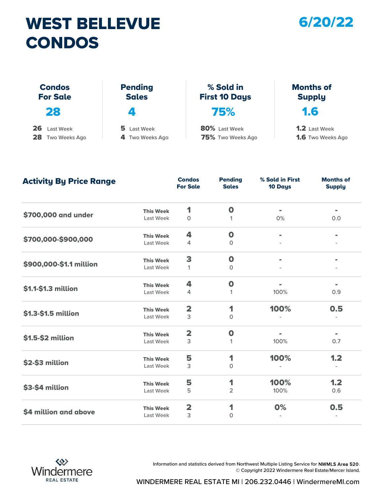## WEST BELLEVUE CONDOS

#### 6/20/22

| <b>CONDOS</b>                    |                                |                                   |                                   |
|----------------------------------|--------------------------------|-----------------------------------|-----------------------------------|
| <b>Condos</b><br><b>For Sale</b> | <b>Pending</b><br><b>Sales</b> | % Sold in<br><b>First 10 Days</b> | <b>Months of</b><br><b>Supply</b> |
| 28                               | 4                              | 75%                               | 1.6                               |
| 26<br>Last Week                  | 5.<br>Last Week                | 80% Last Week                     | <b>1.2</b> Last Week              |
| 28 Two Weeks Ago                 | 4 Two Weeks Ago                | 75% Two Weeks Ago                 | <b>1.6</b> Two Weeks Ago          |

Last Week 0 1 0% 0.0 Last Week 4 0 Last Week 1 0 Last Week 4 1 100% 0.9 Last Week 3 0 Last Week 3 1 1 100% 0.7 Last Week 3 0 Last Week 5 2 100% 0.6 Last Week 3 0  $$4$  million and above This Week 2  $1$  0% 0.5 1.2  $$3-$4 million$  This Week  $$5$  1 100% 1.2  $$2-$3 million$   $5\%$   $1\%$   $100\%$  $$1.5-$2$  million This Week 2 0 1 100% 0.5 - - **\$1.3-\$1.5 million** This Week **2** 1 - \$1.1-\$1.3 million This Week 4 0 - - \$900,000-\$1.1 million This Week 3 0 - - - \$700,000-\$900,000 This Week 4 0 - - \$700,000 and under This Week 1 0 **Condos** Pending<br>For Sale Sales For Sale **Pending** Sales 10 Days % Sold in First Months of Supply Activity By Price Range



Information and statistics derived from Northwest Multiple Listing Service for NWMLS Area 520. © Copyright 2022 Windermere Real Estate/Mercer Island.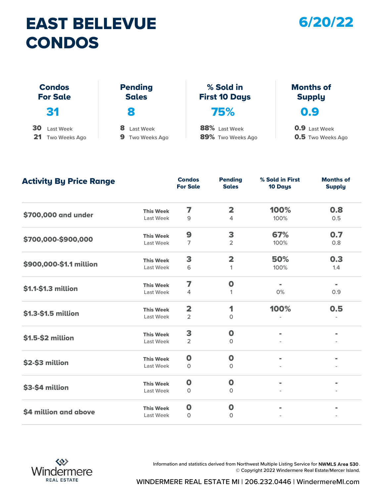## EAST BELLEVUE CONDOS

#### 6/20/22

| <b>CONDOS</b>                    |                                |                                   |                                   |
|----------------------------------|--------------------------------|-----------------------------------|-----------------------------------|
| <b>Condos</b><br><b>For Sale</b> | <b>Pending</b><br><b>Sales</b> | % Sold in<br><b>First 10 Days</b> | <b>Months of</b><br><b>Supply</b> |
| 31                               | 8                              | 75%                               | 0.9                               |
| 30<br>Last Week                  | 8.<br>Last Week                | 88% Last Week                     | <b>0.9</b> Last Week              |
| 21<br>Two Weeks Ago              | 9.<br>Two Weeks Ago            | 89% Two Weeks Ago                 | <b>0.5</b> Two Weeks Ago          |

| <b>Activity By Price Range</b> |                  | <b>Condos</b><br><b>For Sale</b> | <b>Pending</b><br><b>Sales</b> | % Sold in First<br>10 Days | <b>Months of</b><br><b>Supply</b> |
|--------------------------------|------------------|----------------------------------|--------------------------------|----------------------------|-----------------------------------|
|                                | <b>This Week</b> | 7                                | $\overline{\mathbf{2}}$        | 100%                       | 0.8                               |
| \$700,000 and under            | Last Week        | 9                                | 4                              | 100%                       | 0.5                               |
|                                | <b>This Week</b> | 9                                | 3                              | 67%                        | 0.7                               |
| \$700,000-\$900,000            | Last Week        | 7                                | $\overline{2}$                 | 100%                       | 0.8                               |
|                                | <b>This Week</b> | 3                                | $\overline{\mathbf{2}}$        | 50%                        | 0.3                               |
| \$900,000-\$1.1 million        | Last Week        | 6                                | 1                              | 100%                       | 1.4                               |
| \$1.1-\$1.3 million            | <b>This Week</b> | 7                                | $\mathbf 0$                    | $\blacksquare$             | $\blacksquare$                    |
|                                | Last Week        | 4                                | 1                              | 0%                         | 0.9                               |
|                                | <b>This Week</b> | $\overline{\mathbf{2}}$          | 1                              | 100%                       | 0.5                               |
| \$1.3-\$1.5 million            | Last Week        | $\overline{2}$                   | $\circ$                        |                            |                                   |
|                                | <b>This Week</b> | 3                                | $\mathbf 0$                    | $\blacksquare$             |                                   |
| \$1.5-\$2 million              | Last Week        | $\overline{2}$                   | $\mathbf{O}$                   |                            |                                   |
|                                | <b>This Week</b> | $\mathbf 0$                      | $\mathbf 0$                    |                            |                                   |
| \$2-\$3 million                | Last Week        | 0                                | 0                              |                            |                                   |
|                                | <b>This Week</b> | $\mathbf 0$                      | $\mathbf 0$                    | $\blacksquare$             | $\blacksquare$                    |
| \$3-\$4 million                | Last Week        | $\circ$                          | $\circ$                        |                            |                                   |
|                                | <b>This Week</b> | $\mathbf 0$                      | $\mathbf 0$                    |                            |                                   |
| \$4 million and above          | Last Week        | 0                                | 0                              |                            |                                   |



Information and statistics derived from Northwest Multiple Listing Service for NWMLS Area 530. © Copyright 2022 Windermere Real Estate/Mercer Island.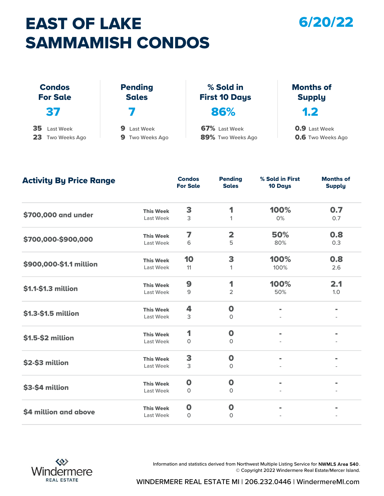# EAST OF LAKE SAMMAMISH CONDOS

#### 6/20/22

|                                        | <b>SAMMAMISH CONDOS</b>                  |                                    |                                                  |
|----------------------------------------|------------------------------------------|------------------------------------|--------------------------------------------------|
| <b>Condos</b><br><b>For Sale</b>       | <b>Pending</b><br><b>Sales</b>           | % Sold in<br><b>First 10 Days</b>  | <b>Months of</b><br><b>Supply</b>                |
| 37                                     |                                          | 86%                                | 1.2                                              |
| 35<br>Last Week<br>23<br>Two Weeks Ago | 9<br>Last Week<br><b>9</b> Two Weeks Ago | 67% Last Week<br>89% Two Weeks Ago | <b>0.9</b> Last Week<br><b>0.6</b> Two Weeks Ago |

| <b>Activity By Price Range</b> |                  | <b>Condos</b><br><b>For Sale</b> | <b>Pending</b><br><b>Sales</b> | % Sold in First<br>10 Days | <b>Months of</b><br><b>Supply</b> |
|--------------------------------|------------------|----------------------------------|--------------------------------|----------------------------|-----------------------------------|
|                                | <b>This Week</b> | 3                                | 1                              | 100%                       | 0.7                               |
| \$700,000 and under            | Last Week        | 3                                | $\mathbf{1}$                   | 0%                         | 0.7                               |
|                                | <b>This Week</b> | 7                                | $\overline{\mathbf{2}}$        | 50%                        | 0.8                               |
| \$700,000-\$900,000            | Last Week        | 6                                | 5                              | 80%                        | 0.3                               |
|                                | <b>This Week</b> | 10                               | 3                              | 100%                       | 0.8                               |
| \$900,000-\$1.1 million        | Last Week        | 11                               | 1                              | 100%                       | 2.6                               |
|                                | <b>This Week</b> | 9                                | 1                              | 100%                       | 2.1                               |
| \$1.1-\$1.3 million            | Last Week        | 9                                | $\overline{2}$                 | 50%                        | 1.0                               |
|                                | <b>This Week</b> | 4                                | $\mathbf 0$                    | $\blacksquare$             | $=$                               |
| \$1.3-\$1.5 million            | Last Week        | 3                                | $\mathbf 0$                    |                            |                                   |
|                                | <b>This Week</b> | 1                                | $\mathbf 0$                    | $\blacksquare$             |                                   |
| \$1.5-\$2 million              | Last Week        | 0                                | 0                              |                            |                                   |
|                                | <b>This Week</b> | 3                                | $\mathbf 0$                    |                            |                                   |
| \$2-\$3 million                | Last Week        | 3                                | $\circ$                        |                            |                                   |
|                                | <b>This Week</b> | $\mathbf 0$                      | $\mathbf 0$                    | $\blacksquare$             |                                   |
| \$3-\$4 million                | Last Week        | 0                                | $\circ$                        |                            |                                   |
|                                | <b>This Week</b> | $\mathbf 0$                      | $\mathbf 0$                    | $\blacksquare$             |                                   |
| \$4 million and above          | Last Week        | $\circ$                          | $\circ$                        |                            |                                   |



Information and statistics derived from Northwest Multiple Listing Service for NWMLS Area 540. © Copyright 2022 Windermere Real Estate/Mercer Island.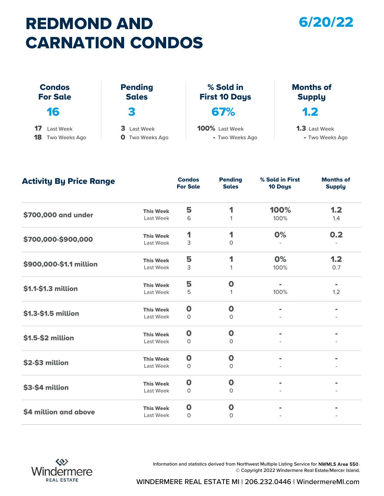# REDMOND AND CARNATION CONDOS

#### 6/20/22

|                                        | <b>CARNATION CONDOS</b>                  |                                   |                                         |
|----------------------------------------|------------------------------------------|-----------------------------------|-----------------------------------------|
| <b>Condos</b><br><b>For Sale</b>       | <b>Pending</b><br><b>Sales</b>           | % Sold in<br><b>First 10 Days</b> | <b>Months of</b><br><b>Supply</b>       |
| 16                                     | З                                        | 67%                               | 1.2                                     |
| 17<br>Last Week<br>18<br>Two Weeks Ago | 3<br>Last Week<br><b>O</b> Two Weeks Ago | 100% Last Week<br>- Two Weeks Ago | <b>1.3</b> Last Week<br>- Two Weeks Ago |

| <b>Activity By Price Range</b> |                  | <b>Condos</b><br><b>For Sale</b> | <b>Pending</b><br><b>Sales</b> | % Sold in First<br>10 Days | <b>Months of</b><br><b>Supply</b> |
|--------------------------------|------------------|----------------------------------|--------------------------------|----------------------------|-----------------------------------|
|                                | <b>This Week</b> | 5                                | 1                              | 100%                       | 1.2                               |
| \$700,000 and under            | Last Week        | 6                                | 1                              | 100%                       | 1.4                               |
|                                | <b>This Week</b> | 1                                | 1                              | 0%                         | 0.2                               |
| \$700,000-\$900,000            | Last Week        | 3                                | $\mathsf{O}$                   |                            |                                   |
|                                | <b>This Week</b> | 5                                | 1                              | 0%                         | 1.2                               |
| \$900,000-\$1.1 million        | Last Week        | 3                                | 1                              | 100%                       | 0.7                               |
|                                | <b>This Week</b> | 5                                | $\mathbf 0$                    | $\blacksquare$             | $\blacksquare$                    |
| \$1.1-\$1.3 million            | Last Week        | 5                                | 1                              | 100%                       | 1.2                               |
|                                | <b>This Week</b> | $\mathbf 0$                      | $\mathbf 0$                    | $\blacksquare$             | $\blacksquare$                    |
| \$1.3-\$1.5 million            | Last Week        | $\circ$                          | $\mathbf 0$                    |                            |                                   |
|                                | <b>This Week</b> | $\mathbf 0$                      | $\mathbf 0$                    | $\blacksquare$             |                                   |
| \$1.5-\$2 million              | Last Week        | $\Omega$                         | $\Omega$                       |                            |                                   |
|                                | <b>This Week</b> | $\mathbf 0$                      | $\mathbf 0$                    |                            |                                   |
| \$2-\$3 million                | Last Week        | $\circ$                          | $\circ$                        |                            |                                   |
|                                | <b>This Week</b> | $\mathbf 0$                      | $\boldsymbol{0}$               | $\blacksquare$             |                                   |
| \$3-\$4 million                | Last Week        | $\circ$                          | $\mathbf 0$                    |                            |                                   |
|                                | <b>This Week</b> | $\mathbf 0$                      | $\mathbf 0$                    | $\blacksquare$             |                                   |
| \$4 million and above          | Last Week        | $\circ$                          | $\circ$                        |                            |                                   |



Information and statistics derived from Northwest Multiple Listing Service for NWMLS Area 550. © Copyright 2022 Windermere Real Estate/Mercer Island.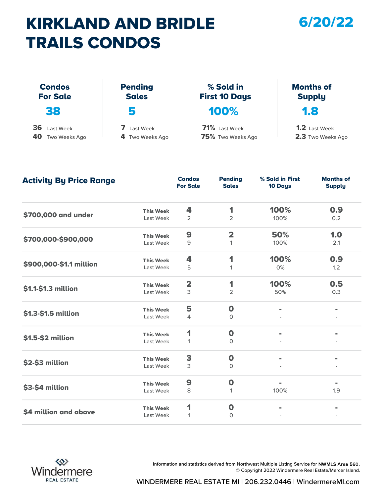## KIRKLAND AND BRIDLE TRAILS CONDOS

#### 6/20/22

| <b>TRAILS CONDOS</b>                   |                                |                                    |                                           |
|----------------------------------------|--------------------------------|------------------------------------|-------------------------------------------|
| <b>Condos</b><br><b>For Sale</b>       | <b>Pending</b><br><b>Sales</b> | % Sold in<br><b>First 10 Days</b>  | <b>Months of</b><br><b>Supply</b>         |
| 38                                     | 5                              | 100%                               | 1.8                                       |
| 36<br>Last Week<br>40<br>Two Weeks Ago | Last Week<br>4 Two Weeks Ago   | 71% Last Week<br>75% Two Weeks Ago | <b>1.2</b> Last Week<br>2.3 Two Weeks Ago |

| <b>Activity By Price Range</b> |                  | <b>Condos</b><br><b>For Sale</b> | <b>Pending</b><br><b>Sales</b> | % Sold in First<br>10 Days | <b>Months of</b><br><b>Supply</b> |
|--------------------------------|------------------|----------------------------------|--------------------------------|----------------------------|-----------------------------------|
|                                | <b>This Week</b> | 4                                | 1                              | 100%                       | 0.9                               |
| \$700,000 and under            | Last Week        | $\overline{2}$                   | $\overline{2}$                 | 100%                       | 0.2                               |
|                                | <b>This Week</b> | 9                                | $\overline{\mathbf{2}}$        | 50%                        | 1.0                               |
| \$700,000-\$900,000            | Last Week        | 9                                | 1                              | 100%                       | 2.1                               |
|                                | <b>This Week</b> | 4                                | 1                              | 100%                       | 0.9                               |
| \$900,000-\$1.1 million        | Last Week        | 5                                | $\mathbf{1}$                   | 0%                         | 1.2                               |
|                                | <b>This Week</b> | $\overline{\mathbf{2}}$          | 1                              | 100%                       | 0.5                               |
| \$1.1-\$1.3 million            | Last Week        | 3                                | $\overline{2}$                 | 50%                        | 0.3                               |
|                                | <b>This Week</b> | 5                                | $\mathbf 0$                    | $\blacksquare$             | $\blacksquare$                    |
| \$1.3-\$1.5 million            | Last Week        | 4                                | $\Omega$                       |                            |                                   |
|                                | <b>This Week</b> | 1                                | $\mathbf 0$                    |                            |                                   |
| \$1.5-\$2 million              | Last Week        | 1                                | $\mathbf 0$                    |                            |                                   |
|                                | <b>This Week</b> | 3                                | $\mathbf 0$                    | $\blacksquare$             |                                   |
| \$2-\$3 million                | Last Week        | 3                                | $\circ$                        |                            |                                   |
|                                | <b>This Week</b> | 9                                | $\mathbf 0$                    | $\blacksquare$             | $\blacksquare$                    |
| \$3-\$4 million                | Last Week        | 8                                | $\mathbf{1}$                   | 100%                       | 1.9                               |
|                                | <b>This Week</b> | 1                                | $\mathbf 0$                    |                            |                                   |
| \$4 million and above          | Last Week        | 1                                | $\mathbf{0}$                   |                            |                                   |



Information and statistics derived from Northwest Multiple Listing Service for NWMLS Area 560. © Copyright 2022 Windermere Real Estate/Mercer Island.